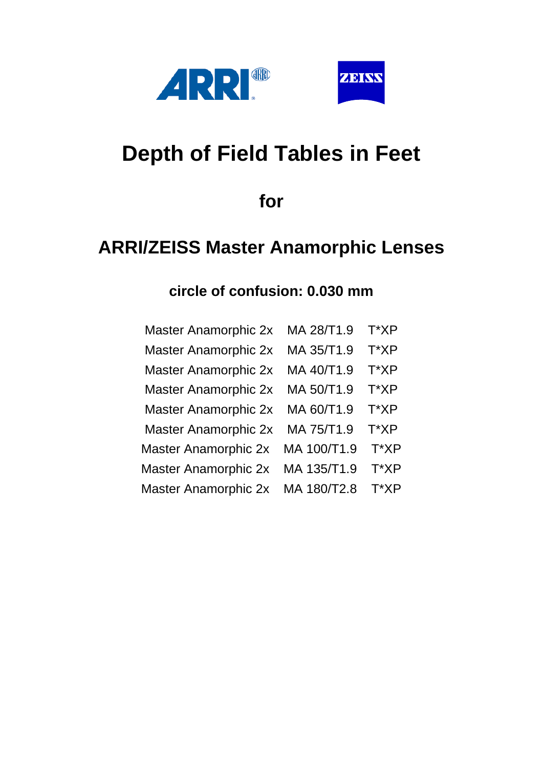



# **Depth of Field Tables in Feet**

**for**

## **ARRI/ZEISS Master Anamorphic Lenses**

| <b>Master Anamorphic 2x</b> | MA 28/T1.9  | T*XP |
|-----------------------------|-------------|------|
| <b>Master Anamorphic 2x</b> | MA 35/T1.9  | T*XP |
| <b>Master Anamorphic 2x</b> | MA 40/T1.9  | T*XP |
| <b>Master Anamorphic 2x</b> | MA 50/T1.9  | T*XP |
| <b>Master Anamorphic 2x</b> | MA 60/T1.9  | T*XP |
| <b>Master Anamorphic 2x</b> | MA 75/T1.9  | T*XP |
| <b>Master Anamorphic 2x</b> | MA 100/T1.9 | T*XP |
| <b>Master Anamorphic 2x</b> | MA 135/T1.9 | T*XP |
| <b>Master Anamorphic 2x</b> | MA 180/T2.8 | T*XP |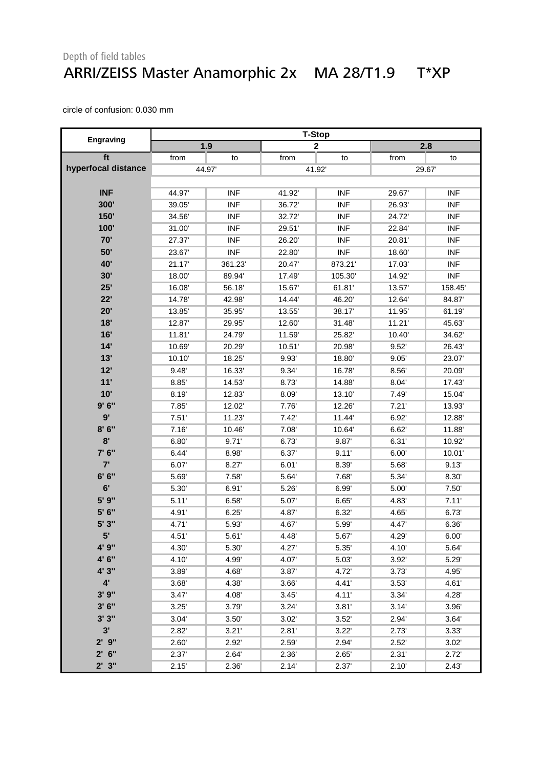#### Depth of field tables ARRI/ZEISS Master Anamorphic 2x MA 28/T1.9 T\*XP

|                     | <b>T-Stop</b> |            |        |                         |        |            |  |
|---------------------|---------------|------------|--------|-------------------------|--------|------------|--|
| <b>Engraving</b>    |               | 1.9        |        | $\overline{\mathbf{2}}$ |        | 2.8        |  |
| ft                  | from          | to         | from   | to                      | from   | to         |  |
| hyperfocal distance |               | 44.97      |        | 41.92                   |        | 29.67      |  |
|                     |               |            |        |                         |        |            |  |
| <b>INF</b>          | 44.97         | <b>INF</b> | 41.92  | <b>INF</b>              | 29.67  | <b>INF</b> |  |
| 300'                | 39.05         | <b>INF</b> | 36.72  | <b>INF</b>              | 26.93  | <b>INF</b> |  |
| 150'                | 34.56         | <b>INF</b> | 32.72  | <b>INF</b>              | 24.72  | <b>INF</b> |  |
| 100'                | 31.00         | <b>INF</b> | 29.51' | <b>INF</b>              | 22.84  | <b>INF</b> |  |
| 70'                 | 27.37         | <b>INF</b> | 26.20  | <b>INF</b>              | 20.81' | <b>INF</b> |  |
| 50'                 | 23.67         | <b>INF</b> | 22.80  | <b>INF</b>              | 18.60  | <b>INF</b> |  |
| 40'                 | 21.17         | 361.23     | 20.47  | 873.21                  | 17.03  | <b>INF</b> |  |
| 30'                 | 18.00         | 89.94      | 17.49  | 105.30                  | 14.92  | <b>INF</b> |  |
| 25'                 | 16.08         | 56.18      | 15.67  | 61.81'                  | 13.57  | 158.45     |  |
| 22'                 | 14.78         | 42.98      | 14.44  | 46.20                   | 12.64  | 84.87      |  |
| 20'                 | 13.85         | 35.95      | 13.55' | 38.17                   | 11.95  | 61.19      |  |
| 18'                 | 12.87         | 29.95      | 12.60  | 31.48                   | 11.21' | 45.63      |  |
| 16'                 | 11.81         | 24.79      | 11.59  | 25.82                   | 10.40  | 34.62      |  |
| 14'                 | 10.69         | 20.29      | 10.51' | 20.98'                  | 9.52'  | 26.43      |  |
| 13'                 | 10.10'        | 18.25      | 9.93'  | 18.80                   | 9.05'  | 23.07      |  |
| 12'                 | 9.48'         | 16.33      | 9.34   | 16.78                   | 8.56'  | 20.09'     |  |
| 11'                 | 8.85          | 14.53      | 8.73'  | 14.88'                  | 8.04'  | 17.43      |  |
| 10'                 | 8.19          | 12.83      | 8.09'  | 13.10                   | 7.49   | 15.04      |  |
| 9'6''               | 7.85          | 12.02      | 7.76'  | 12.26                   | 7.21'  | 13.93'     |  |
| 9'                  | 7.51'         | 11.23      | 7.42'  | 11.44                   | 6.92'  | 12.88      |  |
| 8'6''               | 7.16'         | 10.46      | 7.08   | 10.64                   | 6.62'  | 11.88      |  |
| 8'                  | 6.80'         | 9.71'      | 6.73   | 9.87                    | 6.31'  | 10.92      |  |
| 7' 6"               | 6.44'         | 8.98       | 6.37'  | 9.11'                   | 6.00'  | 10.01'     |  |
| 7'                  | 6.07          | 8.27'      | 6.01'  | 8.39                    | 5.68   | 9.13'      |  |
| 6' 6''              | 5.69          | 7.58'      | 5.64   | 7.68                    | 5.34   | 8.30'      |  |
| 6'                  | 5.30          | 6.91'      | 5.26'  | 6.99'                   | 5.00   | 7.50'      |  |
| 5' 9"               | 5.11'         | 6.58'      | 5.07'  | 6.65'                   | 4.83   | 7.11'      |  |
| 5' 6"               | 4.91'         | 6.25'      | 4.87   | 6.32'                   | 4.65   | 6.73'      |  |
| 5'3''               | 4.71'         | 5.93       | 4.67   | 5.99'                   | 4.47   | 6.36       |  |
| 5'                  | 4.51'         | 5.61'      | 4.48   | 5.67                    | 4.29   | 6.00'      |  |
| 4' 9"               | 4.30          | 5.30       | 4.27'  | 5.35                    | 4.10'  | 5.64'      |  |
| 4' 6"               | 4.10          | 4.99'      | 4.07   | 5.03                    | 3.92'  | 5.29       |  |
| 4' 3"               | 3.89          | 4.68'      | 3.87   | 4.72                    | 3.73'  | 4.95'      |  |
| $4^{\circ}$         | 3.68'         | 4.38'      | 3.66   | 4.41'                   | 3.53'  | 4.61'      |  |
| 3'9''               | 3.47'         | 4.08       | 3.45'  | 4.11'                   | 3.34'  | 4.28'      |  |
| 3'6''               | 3.25'         | 3.79       | 3.24'  | 3.81'                   | 3.14'  | 3.96'      |  |
| 3'3''               | 3.04'         | 3.50'      | 3.02'  | 3.52'                   | 2.94'  | 3.64'      |  |
| 3'                  | 2.82          | 3.21'      | 2.81'  | 3.22'                   | 2.73   | 3.33'      |  |
| $2'$ $9''$          | 2.60'         | 2.92       | 2.59   | 2.94'                   | 2.52'  | 3.02'      |  |
| $2'$ 6"             | 2.37          | 2.64'      | 2.36   | 2.65'                   | 2.31'  | 2.72'      |  |
| 2'3''               | 2.15'         | 2.36       | 2.14'  | 2.37                    | 2.10'  | 2.43'      |  |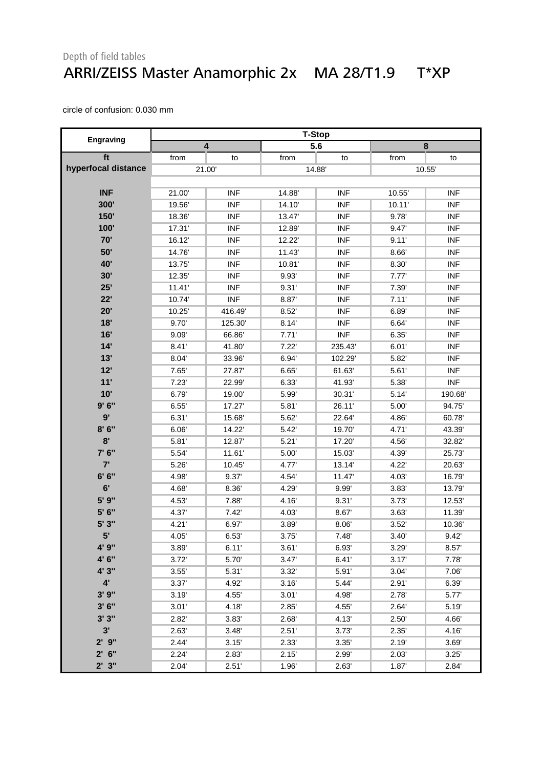#### Depth of field tables ARRI/ZEISS Master Anamorphic 2x MA 28/T1.9 T\*XP

|                     | <b>T-Stop</b> |            |       |            |        |            |  |
|---------------------|---------------|------------|-------|------------|--------|------------|--|
| Engraving           |               | 4          |       | 5.6        |        | 8          |  |
| ft                  | from          | to         | from  | to         | from   | to         |  |
| hyperfocal distance |               | 21.00      |       | 14.88      |        | 10.55      |  |
|                     |               |            |       |            |        |            |  |
| <b>INF</b>          | 21.00         | <b>INF</b> | 14.88 | <b>INF</b> | 10.55  | <b>INF</b> |  |
| 300'                | 19.56         | <b>INF</b> | 14.10 | <b>INF</b> | 10.11' | <b>INF</b> |  |
| 150'                | 18.36         | <b>INF</b> | 13.47 | <b>INF</b> | 9.78'  | <b>INF</b> |  |
| 100'                | 17.31'        | <b>INF</b> | 12.89 | <b>INF</b> | 9.47   | <b>INF</b> |  |
| 70'                 | 16.12         | <b>INF</b> | 12.22 | <b>INF</b> | 9.11'  | <b>INF</b> |  |
| 50'                 | 14.76         | <b>INF</b> | 11.43 | <b>INF</b> | 8.66   | <b>INF</b> |  |
| 40'                 | 13.75         | <b>INF</b> | 10.81 | <b>INF</b> | 8.30'  | <b>INF</b> |  |
| 30'                 | 12.35         | <b>INF</b> | 9.93' | <b>INF</b> | 7.77'  | <b>INF</b> |  |
| 25'                 | 11.41'        | <b>INF</b> | 9.31' | <b>INF</b> | 7.39   | <b>INF</b> |  |
| 22'                 | 10.74         | <b>INF</b> | 8.87  | <b>INF</b> | 7.11'  | <b>INF</b> |  |
| 20'                 | 10.25         | 416.49     | 8.52' | <b>INF</b> | 6.89   | <b>INF</b> |  |
| 18'                 | 9.70          | 125.30     | 8.14' | <b>INF</b> | 6.64   | <b>INF</b> |  |
| 16'                 | 9.09'         | 66.86      | 7.71' | <b>INF</b> | 6.35'  | <b>INF</b> |  |
| 14'                 | 8.41'         | 41.80      | 7.22' | 235.43     | 6.01'  | <b>INF</b> |  |
| 13'                 | 8.04          | 33.96      | 6.94  | 102.29     | 5.82   | <b>INF</b> |  |
| 12'                 | 7.65'         | 27.87      | 6.65' | 61.63      | 5.61'  | <b>INF</b> |  |
| 11'                 | 7.23'         | 22.99      | 6.33' | 41.93'     | 5.38'  | <b>INF</b> |  |
| 10'                 | 6.79          | 19.00      | 5.99  | 30.31'     | 5.14'  | 190.68'    |  |
| 9'6''               | 6.55'         | 17.27      | 5.81' | 26.11'     | 5.00'  | 94.75      |  |
| 9'                  | 6.31'         | 15.68      | 5.62  | 22.64      | 4.86   | 60.78      |  |
| 8'6''               | 6.06          | 14.22'     | 5.42  | 19.70      | 4.71'  | 43.39'     |  |
| 8'                  | 5.81'         | 12.87      | 5.21' | 17.20'     | 4.56   | 32.82      |  |
| 7' 6"               | 5.54          | 11.61      | 5.00  | 15.03'     | 4.39'  | 25.73      |  |
| 7'                  | 5.26          | 10.45      | 4.77  | 13.14      | 4.22   | 20.63'     |  |
| 6' 6''              | 4.98          | 9.37'      | 4.54  | 11.47      | 4.03   | 16.79      |  |
| 6'                  | 4.68          | 8.36       | 4.29  | 9.99       | 3.83'  | 13.79'     |  |
| 5' 9"               | 4.53          | 7.88       | 4.16  | 9.31'      | 3.73'  | 12.53      |  |
| 5' 6"               | 4.37          | 7.42'      | 4.03  | 8.67       | 3.63'  | 11.39'     |  |
| 5' 3"               | 4.21'         | 6.97       | 3.89  | 8.06'      | 3.52'  | 10.36      |  |
| 5'                  | 4.05'         | 6.53'      | 3.75' | 7.48'      | 3.40'  | 9.42'      |  |
| 4' 9"               | 3.89'         | 6.11'      | 3.61' | 6.93'      | 3.29'  | 8.57'      |  |
| 4' 6"               | 3.72'         | 5.70       | 3.47' | 6.41'      | 3.17'  | 7.78       |  |
| 4' 3"               | 3.55'         | 5.31'      | 3.32  | 5.91'      | 3.04'  | 7.06'      |  |
| $4^{\circ}$         | 3.37'         | 4.92       | 3.16' | 5.44'      | 2.91'  | 6.39'      |  |
| 3'9''               | 3.19'         | 4.55'      | 3.01' | 4.98       | 2.78   | 5.77       |  |
| 3'6''               | 3.01'         | 4.18       | 2.85' | 4.55       | 2.64'  | 5.19       |  |
| 3'3''               | 2.82'         | 3.83'      | 2.68' | 4.13       | 2.50'  | 4.66'      |  |
| 3'                  | 2.63          | 3.48'      | 2.51' | 3.73'      | 2.35'  | 4.16       |  |
| $2'$ $9''$          | 2.44'         | 3.15'      | 2.33' | 3.35'      | 2.19'  | 3.69       |  |
| $2'$ 6"             | 2.24'         | 2.83       | 2.15' | 2.99'      | 2.03'  | 3.25'      |  |
| $2'$ $3''$          | 2.04'         | 2.51'      | 1.96  | 2.63'      | 1.87   | 2.84'      |  |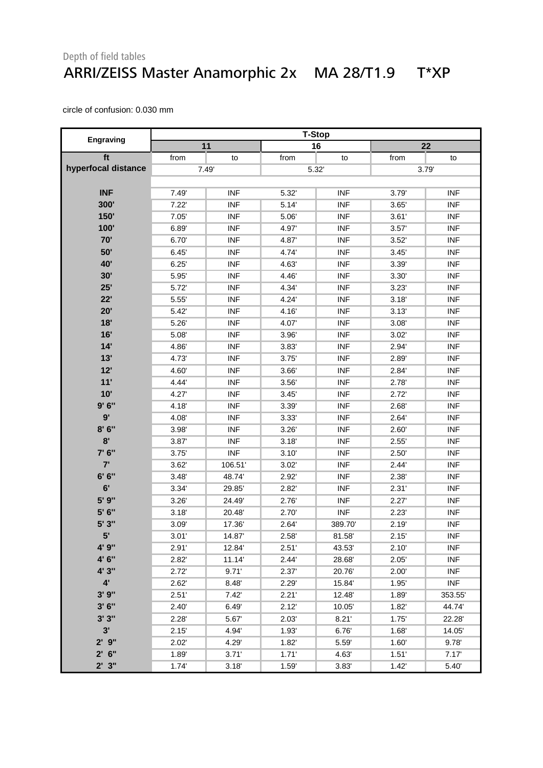#### Depth of field tables ARRI/ZEISS Master Anamorphic 2x MA 28/T1.9 T\*XP

|                     | <b>T-Stop</b> |            |       |            |       |            |
|---------------------|---------------|------------|-------|------------|-------|------------|
| <b>Engraving</b>    |               | 11         |       | 16         |       | 22         |
| ft                  | from          | to         | from  | to         | from  | to         |
| hyperfocal distance | 7.49'         |            | 5.32  |            | 3.79  |            |
|                     |               |            |       |            |       |            |
| <b>INF</b>          | 7.49          | <b>INF</b> | 5.32  | <b>INF</b> | 3.79  | <b>INF</b> |
| 300'                | 7.22'         | <b>INF</b> | 5.14' | <b>INF</b> | 3.65' | <b>INF</b> |
| 150'                | 7.05'         | <b>INF</b> | 5.06  | <b>INF</b> | 3.61' | <b>INF</b> |
| 100'                | 6.89          | <b>INF</b> | 4.97  | <b>INF</b> | 3.57' | <b>INF</b> |
| 70'                 | 6.70          | <b>INF</b> | 4.87  | <b>INF</b> | 3.52' | <b>INF</b> |
| 50'                 | 6.45'         | <b>INF</b> | 4.74  | <b>INF</b> | 3.45' | <b>INF</b> |
| <b>40'</b>          | 6.25'         | <b>INF</b> | 4.63  | <b>INF</b> | 3.39' | <b>INF</b> |
| 30'                 | 5.95'         | <b>INF</b> | 4.46  | <b>INF</b> | 3.30' | <b>INF</b> |
| 25'                 | 5.72          | <b>INF</b> | 4.34  | <b>INF</b> | 3.23' | <b>INF</b> |
| 22'                 | 5.55          | <b>INF</b> | 4.24  | <b>INF</b> | 3.18' | <b>INF</b> |
| 20'                 | 5.42'         | <b>INF</b> | 4.16  | <b>INF</b> | 3.13' | <b>INF</b> |
| 18'                 | 5.26          | <b>INF</b> | 4.07  | <b>INF</b> | 3.08' | <b>INF</b> |
| 16'                 | 5.08'         | <b>INF</b> | 3.96' | <b>INF</b> | 3.02' | <b>INF</b> |
| 14'                 | 4.86          | <b>INF</b> | 3.83' | <b>INF</b> | 2.94  | <b>INF</b> |
| 13'                 | 4.73'         | <b>INF</b> | 3.75' | <b>INF</b> | 2.89  | <b>INF</b> |
| 12'                 | 4.60          | <b>INF</b> | 3.66  | <b>INF</b> | 2.84' | <b>INF</b> |
| 11'                 | 4.44          | <b>INF</b> | 3.56' | <b>INF</b> | 2.78' | <b>INF</b> |
| 10'                 | 4.27          | <b>INF</b> | 3.45' | <b>INF</b> | 2.72' | <b>INF</b> |
| 9'6''               | 4.18          | <b>INF</b> | 3.39  | <b>INF</b> | 2.68' | <b>INF</b> |
| 9'                  | 4.08          | <b>INF</b> | 3.33' | <b>INF</b> | 2.64' | <b>INF</b> |
| 8'6''               | 3.98          | <b>INF</b> | 3.26' | <b>INF</b> | 2.60' | <b>INF</b> |
| 8'                  | 3.87'         | <b>INF</b> | 3.18' | <b>INF</b> | 2.55' | <b>INF</b> |
| 7' 6"               | 3.75'         | <b>INF</b> | 3.10' | <b>INF</b> | 2.50' | <b>INF</b> |
| 7'                  | 3.62'         | 106.51     | 3.02' | <b>INF</b> | 2.44' | <b>INF</b> |
| 6' 6''              | 3.48'         | 48.74      | 2.92' | <b>INF</b> | 2.38' | <b>INF</b> |
| 6'                  | 3.34          | 29.85      | 2.82  | <b>INF</b> | 2.31' | <b>INF</b> |
| 5' 9"               | 3.26'         | 24.49      | 2.76' | <b>INF</b> | 2.27' | <b>INF</b> |
| 5' 6"               | 3.18'         | 20.48      | 2.70' | <b>INF</b> | 2.23' | <b>INF</b> |
| 5' 3"               | 3.09'         | 17.36      | 2.64' | 389.70     | 2.19' | <b>INF</b> |
| 5'                  | 3.01'         | 14.87      | 2.58' | 81.58'     | 2.15' | <b>INF</b> |
| 4' 9"               | 2.91'         | 12.84      | 2.51' | 43.53      | 2.10' | <b>INF</b> |
| 4' 6"               | 2.82          | 11.14      | 2.44' | 28.68      | 2.05' | <b>INF</b> |
| 4' 3"               | 2.72'         | 9.71'      | 2.37' | 20.76'     | 2.00' | <b>INF</b> |
| $4^{\circ}$         | 2.62'         | 8.48       | 2.29  | 15.84      | 1.95' | <b>INF</b> |
| 3'9''               | 2.51'         | 7.42'      | 2.21' | 12.48      | 1.89  | 353.55     |
| 3'6''               | 2.40'         | 6.49       | 2.12' | 10.05'     | 1.82' | 44.74      |
| 3'3''               | 2.28'         | 5.67       | 2.03' | 8.21'      | 1.75' | 22.28      |
| 3'                  | 2.15'         | 4.94'      | 1.93' | 6.76'      | 1.68' | 14.05'     |
| $2'$ $9''$          | 2.02'         | 4.29'      | 1.82' | 5.59       | 1.60' | 9.78       |
| $2'$ 6"             | 1.89          | 3.71'      | 1.71' | 4.63       | 1.51' | 7.17'      |
| 2'3''               | 1.74'         | 3.18'      | 1.59  | 3.83'      | 1.42' | 5.40       |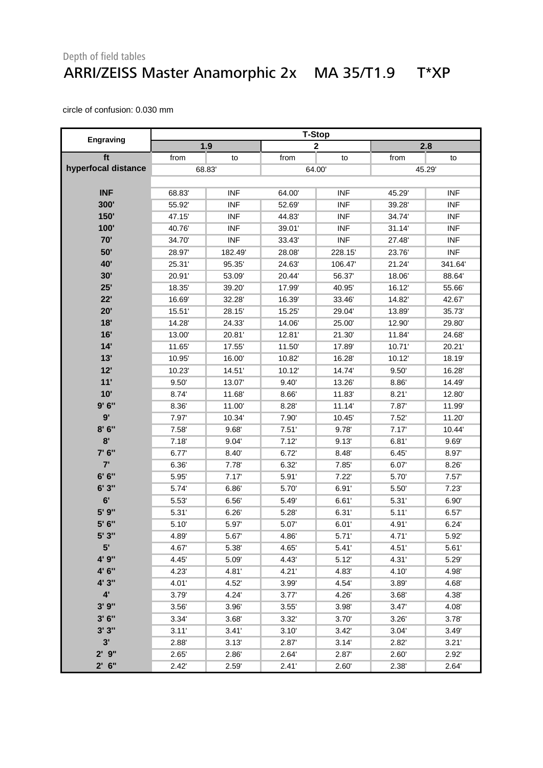#### Depth of field tables ARRI/ZEISS Master Anamorphic 2x MA 35/T1.9 T\*XP

|                     | <b>T-Stop</b> |            |        |             |        |            |
|---------------------|---------------|------------|--------|-------------|--------|------------|
| <b>Engraving</b>    |               | 1.9        |        | $\mathbf 2$ |        | 2.8        |
| ft                  | from          | to         | from   | to          | from   | to         |
| hyperfocal distance |               | 68.83      |        | 64.00       | 45.29  |            |
|                     |               |            |        |             |        |            |
| <b>INF</b>          | 68.83         | <b>INF</b> | 64.00  | <b>INF</b>  | 45.29  | <b>INF</b> |
| 300'                | 55.92         | <b>INF</b> | 52.69  | <b>INF</b>  | 39.28' | <b>INF</b> |
| 150'                | 47.15         | <b>INF</b> | 44.83  | <b>INF</b>  | 34.74  | <b>INF</b> |
| 100'                | 40.76         | <b>INF</b> | 39.01' | <b>INF</b>  | 31.14  | <b>INF</b> |
| 70'                 | 34.70         | <b>INF</b> | 33.43  | <b>INF</b>  | 27.48  | <b>INF</b> |
| 50'                 | 28.97         | 182.49     | 28.08' | 228.15      | 23.76  | <b>INF</b> |
| 40'                 | 25.31         | 95.35      | 24.63  | 106.47      | 21.24  | 341.64     |
| 30'                 | 20.91'        | 53.09      | 20.44  | 56.37       | 18.06  | 88.64      |
| 25'                 | 18.35'        | 39.20      | 17.99' | 40.95'      | 16.12  | 55.66      |
| 22'                 | 16.69         | 32.28      | 16.39  | 33.46'      | 14.82  | 42.67      |
| 20'                 | 15.51         | 28.15      | 15.25  | 29.04'      | 13.89  | 35.73      |
| 18'                 | 14.28         | 24.33'     | 14.06' | 25.00       | 12.90  | 29.80      |
| 16'                 | 13.00         | 20.81      | 12.81' | 21.30'      | 11.84  | 24.68      |
| 14'                 | 11.65         | 17.55      | 11.50  | 17.89       | 10.71' | 20.21'     |
| 13'                 | 10.95         | 16.00      | 10.82  | 16.28'      | 10.12' | 18.19      |
| 12'                 | 10.23         | 14.51      | 10.12' | 14.74       | 9.50'  | 16.28      |
| 11'                 | 9.50'         | 13.07      | 9.40'  | 13.26'      | 8.86'  | 14.49      |
| 10'                 | 8.74          | 11.68      | 8.66'  | 11.83       | 8.21'  | 12.80      |
| 9'6''               | 8.36          | 11.00      | 8.28'  | 11.14       | 7.87   | 11.99      |
| 9'                  | 7.97          | 10.34      | 7.90   | 10.45       | 7.52'  | 11.20      |
| 8'6''               | 7.58'         | 9.68       | 7.51'  | 9.78'       | 7.17'  | 10.44      |
| 8'                  | 7.18'         | 9.04'      | 7.12'  | 9.13'       | 6.81'  | 9.69'      |
| 7' 6"               | 6.77          | 8.40'      | 6.72   | 8.48        | 6.45'  | 8.97       |
| 7'                  | 6.36          | 7.78       | 6.32'  | 7.85'       | 6.07   | 8.26'      |
| 6' 6''              | 5.95          | 7.17'      | 5.91'  | 7.22'       | 5.70   | 7.57'      |
| 6'3''               | 5.74          | 6.86       | 5.70   | 6.91'       | 5.50   | 7.23'      |
| 6'                  | 5.53          | 6.56'      | 5.49   | 6.61'       | 5.31'  | 6.90'      |
| 5' 9"               | 5.31'         | 6.26'      | 5.28   | 6.31'       | 5.11'  | 6.57       |
| 5' 6"               | 5.10'         | 5.97       | 5.07'  | 6.01'       | 4.91'  | 6.24'      |
| 5' 3"               | 4.89          | 5.67       | 4.86   | 5.71'       | 4.71'  | 5.92       |
| 5'                  | 4.67          | 5.38       | 4.65   | 5.41'       | 4.51'  | 5.61'      |
| 4' 9"               | 4.45          | 5.09       | 4.43'  | 5.12        | 4.31'  | 5.29       |
| 4' 6"               | 4.23          | 4.81'      | 4.21'  | 4.83        | 4.10   | 4.98       |
| 4' 3"               | 4.01'         | 4.52       | 3.99   | 4.54        | 3.89   | 4.68'      |
| $4^{\circ}$         | 3.79'         | 4.24       | 3.77'  | 4.26'       | 3.68'  | 4.38'      |
| 3'9''               | 3.56'         | 3.96       | 3.55'  | 3.98'       | 3.47'  | 4.08'      |
| 3'6''               | 3.34          | 3.68       | 3.32   | 3.70'       | 3.26'  | 3.78'      |
| 3'3''               | 3.11'         | 3.41'      | 3.10'  | 3.42'       | 3.04'  | 3.49'      |
| 3'                  | 2.88          | 3.13'      | 2.87   | 3.14'       | 2.82   | 3.21'      |
| $2'$ $9''$          | 2.65'         | 2.86       | 2.64'  | 2.87        | 2.60'  | 2.92'      |
| $2'$ 6"             | 2.42'         | 2.59'      | 2.41'  | 2.60'       | 2.38'  | 2.64'      |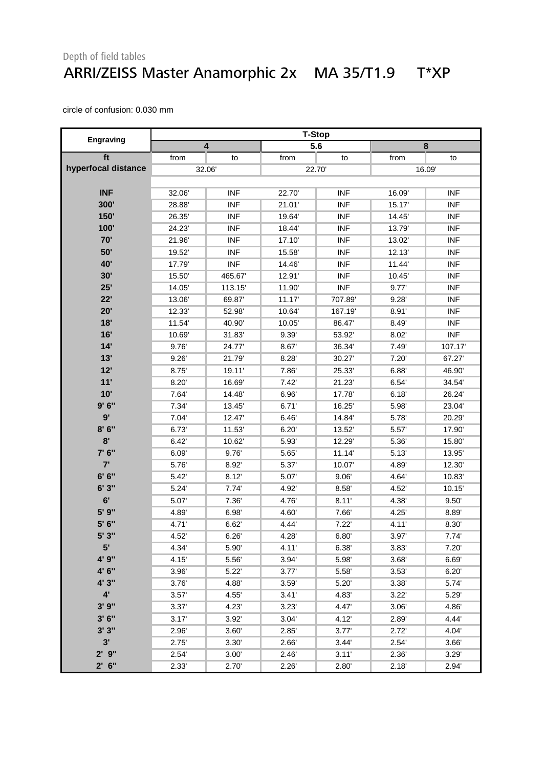#### Depth of field tables ARRI/ZEISS Master Anamorphic 2x MA 35/T1.9 T\*XP

|                     | <b>T-Stop</b> |                         |        |            |        |            |
|---------------------|---------------|-------------------------|--------|------------|--------|------------|
| <b>Engraving</b>    |               | $\overline{\mathbf{4}}$ |        | 5.6        |        | $\pmb{8}$  |
| ft                  | from          | to                      | from   | to         | from   | to         |
| hyperfocal distance |               | 32.06                   |        | 22.70      |        | 16.09      |
|                     |               |                         |        |            |        |            |
| <b>INF</b>          | 32.06         | <b>INF</b>              | 22.70  | <b>INF</b> | 16.09  | <b>INF</b> |
| 300'                | 28.88         | <b>INF</b>              | 21.01' | <b>INF</b> | 15.17  | <b>INF</b> |
| 150'                | 26.35         | <b>INF</b>              | 19.64  | <b>INF</b> | 14.45  | <b>INF</b> |
| 100'                | 24.23'        | <b>INF</b>              | 18.44  | <b>INF</b> | 13.79' | <b>INF</b> |
| 70'                 | 21.96         | <b>INF</b>              | 17.10  | <b>INF</b> | 13.02  | <b>INF</b> |
| 50'                 | 19.52         | <b>INF</b>              | 15.58  | <b>INF</b> | 12.13' | <b>INF</b> |
| 40'                 | 17.79         | <b>INF</b>              | 14.46  | <b>INF</b> | 11.44  | <b>INF</b> |
| 30'                 | 15.50         | 465.67                  | 12.91' | <b>INF</b> | 10.45  | <b>INF</b> |
| 25'                 | 14.05         | 113.15                  | 11.90  | <b>INF</b> | 9.77'  | <b>INF</b> |
| 22'                 | 13.06         | 69.87                   | 11.17' | 707.89     | 9.28'  | <b>INF</b> |
| 20'                 | 12.33         | 52.98                   | 10.64  | 167.19     | 8.91'  | <b>INF</b> |
| 18'                 | 11.54         | 40.90                   | 10.05  | 86.47      | 8.49   | <b>INF</b> |
| 16'                 | 10.69         | 31.83                   | 9.39'  | 53.92      | 8.02'  | <b>INF</b> |
| 14'                 | 9.76          | 24.77                   | 8.67'  | 36.34      | 7.49   | 107.17     |
| 13'                 | 9.26'         | 21.79'                  | 8.28'  | 30.27      | 7.20'  | 67.27      |
| 12'                 | 8.75          | 19.11'                  | 7.86   | 25.33'     | 6.88'  | 46.90      |
| 11'                 | 8.20          | 16.69                   | 7.42'  | 21.23'     | 6.54   | 34.54      |
| 10'                 | 7.64          | 14.48                   | 6.96'  | 17.78'     | 6.18'  | 26.24      |
| 9'6''               | 7.34          | 13.45                   | 6.71'  | 16.25      | 5.98   | 23.04      |
| 9'                  | 7.04          | 12.47                   | 6.46'  | 14.84      | 5.78   | 20.29'     |
| 8'6''               | 6.73'         | 11.53                   | 6.20'  | 13.52'     | 5.57   | 17.90      |
| 8'                  | 6.42'         | 10.62                   | 5.93   | 12.29'     | 5.36'  | 15.80      |
| 7' 6"               | 6.09'         | 9.76                    | 5.65'  | 11.14'     | 5.13'  | 13.95      |
| 7'                  | 5.76          | 8.92                    | 5.37'  | 10.07      | 4.89   | 12.30      |
| 6' 6''              | 5.42          | 8.12'                   | 5.07   | 9.06'      | 4.64   | 10.83      |
| 6'3''               | 5.24          | 7.74                    | 4.92   | 8.58'      | 4.52   | 10.15'     |
| 6'                  | 5.07          | 7.36'                   | 4.76   | 8.11'      | 4.38'  | 9.50'      |
| 5' 9"               | 4.89          | 6.98                    | 4.60   | 7.66       | 4.25'  | 8.89       |
| 5' 6"               | 4.71'         | 6.62'                   | 4.44   | 7.22'      | 4.11'  | 8.30'      |
| 5'3''               | 4.52          | 6.26'                   | 4.28   | 6.80'      | 3.97'  | 7.74'      |
| 5'                  | 4.34'         | 5.90                    | 4.11'  | 6.38'      | 3.83'  | 7.20'      |
| 4' 9"               | 4.15          | 5.56                    | 3.94   | 5.98       | 3.68'  | 6.69       |
| 4' 6"               | 3.96'         | 5.22                    | 3.77'  | 5.58       | 3.53'  | 6.20'      |
| 4' 3"               | 3.76          | 4.88                    | 3.59'  | 5.20'      | 3.38'  | 5.74       |
| $4^{\prime}$        | 3.57'         | 4.55'                   | 3.41'  | 4.83'      | 3.22'  | 5.29       |
| 3'9''               | 3.37'         | 4.23                    | 3.23'  | 4.47       | 3.06'  | 4.86       |
| 3'6''               | 3.17'         | 3.92                    | 3.04'  | 4.12       | 2.89   | 4.44       |
| 3'3''               | 2.96          | 3.60'                   | 2.85'  | 3.77'      | 2.72   | 4.04'      |
| 3'                  | 2.75'         | 3.30                    | 2.66'  | 3.44'      | 2.54'  | 3.66'      |
| 2'9''               | 2.54'         | 3.00'                   | 2.46'  | 3.11'      | 2.36   | 3.29'      |
| $2'$ 6"             | 2.33'         | 2.70'                   | 2.26'  | 2.80'      | 2.18'  | 2.94'      |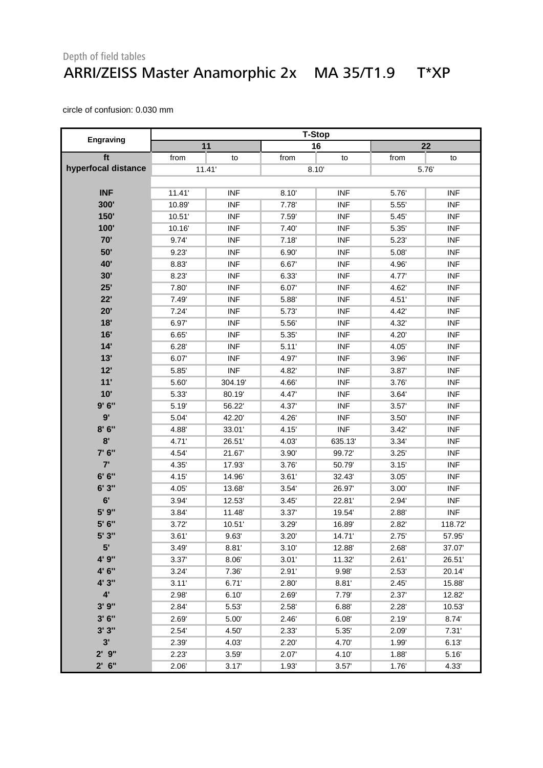#### Depth of field tables ARRI/ZEISS Master Anamorphic 2x MA 35/T1.9 T\*XP

|                     | <b>T-Stop</b> |            |       |            |       |            |
|---------------------|---------------|------------|-------|------------|-------|------------|
| <b>Engraving</b>    |               | 11         |       | 16         |       | 22         |
| ft                  | from          | to         | from  | to         | from  | to         |
| hyperfocal distance |               | 11.41'     | 8.10' |            |       | 5.76       |
|                     |               |            |       |            |       |            |
| <b>INF</b>          | 11.41'        | <b>INF</b> | 8.10' | <b>INF</b> | 5.76  | <b>INF</b> |
| 300'                | 10.89         | <b>INF</b> | 7.78  | <b>INF</b> | 5.55  | <b>INF</b> |
| 150'                | 10.51'        | <b>INF</b> | 7.59  | <b>INF</b> | 5.45' | <b>INF</b> |
| 100'                | 10.16         | <b>INF</b> | 7.40' | <b>INF</b> | 5.35' | <b>INF</b> |
| 70'                 | 9.74          | <b>INF</b> | 7.18  | <b>INF</b> | 5.23' | <b>INF</b> |
| 50'                 | 9.23'         | <b>INF</b> | 6.90' | <b>INF</b> | 5.08' | <b>INF</b> |
| 40'                 | 8.83          | <b>INF</b> | 6.67' | <b>INF</b> | 4.96  | <b>INF</b> |
| 30'                 | 8.23'         | <b>INF</b> | 6.33' | <b>INF</b> | 4.77  | <b>INF</b> |
| 25'                 | 7.80          | <b>INF</b> | 6.07  | <b>INF</b> | 4.62  | <b>INF</b> |
| 22'                 | 7.49          | <b>INF</b> | 5.88  | <b>INF</b> | 4.51' | <b>INF</b> |
| 20'                 | 7.24'         | <b>INF</b> | 5.73  | <b>INF</b> | 4.42  | <b>INF</b> |
| 18'                 | 6.97          | <b>INF</b> | 5.56  | <b>INF</b> | 4.32' | <b>INF</b> |
| 16'                 | 6.65'         | <b>INF</b> | 5.35' | <b>INF</b> | 4.20' | <b>INF</b> |
| 14'                 | 6.28'         | <b>INF</b> | 5.11' | <b>INF</b> | 4.05  | <b>INF</b> |
| 13'                 | 6.07          | <b>INF</b> | 4.97  | <b>INF</b> | 3.96' | <b>INF</b> |
| 12'                 | 5.85          | <b>INF</b> | 4.82  | <b>INF</b> | 3.87  | <b>INF</b> |
| 11'                 | 5.60          | 304.19     | 4.66  | <b>INF</b> | 3.76' | <b>INF</b> |
| 10'                 | 5.33          | 80.19      | 4.47  | <b>INF</b> | 3.64' | <b>INF</b> |
| 9'6''               | 5.19          | 56.22      | 4.37  | <b>INF</b> | 3.57' | <b>INF</b> |
| 9'                  | 5.04          | 42.20      | 4.26  | <b>INF</b> | 3.50' | <b>INF</b> |
| 8'6''               | 4.88          | 33.01'     | 4.15' | <b>INF</b> | 3.42' | <b>INF</b> |
| 8'                  | 4.71'         | 26.51      | 4.03  | 635.13     | 3.34' | <b>INF</b> |
| 7' 6"               | 4.54          | 21.67      | 3.90' | 99.72'     | 3.25' | <b>INF</b> |
| 7'                  | 4.35          | 17.93      | 3.76' | 50.79      | 3.15' | <b>INF</b> |
| 6' 6''              | 4.15          | 14.96      | 3.61' | 32.43      | 3.05' | <b>INF</b> |
| 6'3''               | 4.05          | 13.68      | 3.54' | 26.97      | 3.00' | <b>INF</b> |
| 6'                  | 3.94          | 12.53      | 3.45' | 22.81      | 2.94  | <b>INF</b> |
| 5' 9"               | 3.84          | 11.48      | 3.37' | 19.54      | 2.88' | <b>INF</b> |
| 5' 6"               | 3.72'         | 10.51'     | 3.29' | 16.89      | 2.82' | 118.72     |
| 5'3"                | 3.61'         | 9.63'      | 3.20' | 14.71'     | 2.75' | 57.95      |
| 5'                  | 3.49'         | 8.81'      | 3.10' | 12.88      | 2.68' | 37.07      |
| 4' 9"               | 3.37'         | 8.06'      | 3.01' | 11.32'     | 2.61' | 26.51      |
| 4' 6"               | 3.24'         | 7.36       | 2.91' | 9.98       | 2.53' | 20.14      |
| 4' 3"               | 3.11'         | 6.71'      | 2.80  | 8.81'      | 2.45' | 15.88      |
| $4^{\prime}$        | 2.98'         | 6.10'      | 2.69' | 7.79       | 2.37' | 12.82      |
| 3'9''               | 2.84          | 5.53       | 2.58' | 6.88'      | 2.28' | 10.53      |
| 3'6''               | 2.69'         | 5.00       | 2.46' | 6.08'      | 2.19' | 8.74'      |
| 3'3''               | 2.54'         | 4.50       | 2.33' | 5.35       | 2.09' | 7.31'      |
| 3'                  | 2.39'         | 4.03'      | 2.20' | 4.70       | 1.99' | 6.13'      |
| 2'9''               | 2.23'         | 3.59'      | 2.07  | 4.10       | 1.88  | 5.16'      |
| $2'$ 6"             | 2.06'         | 3.17'      | 1.93  | 3.57'      | 1.76' | 4.33'      |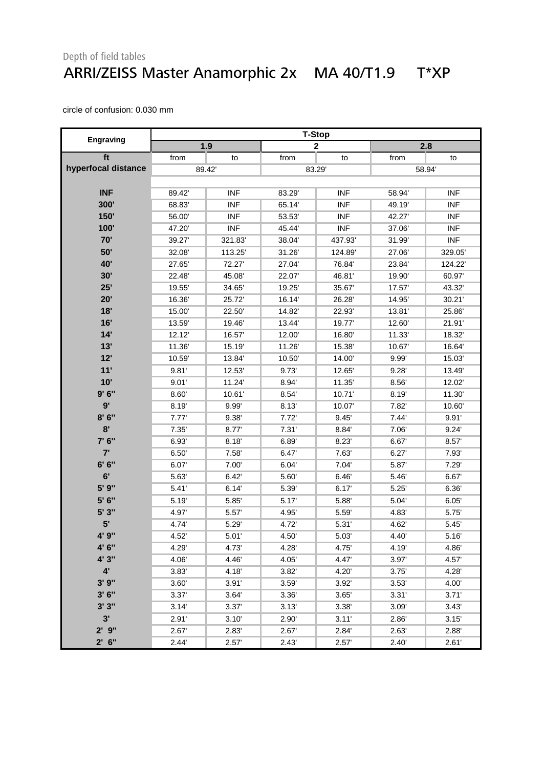#### Depth of field tables ARRI/ZEISS Master Anamorphic 2x MA 40/T1.9 T\*XP

|                     | <b>T-Stop</b> |            |       |              |        |            |  |
|---------------------|---------------|------------|-------|--------------|--------|------------|--|
| Engraving           |               | 1.9        |       | $\mathbf{2}$ |        | 2.8        |  |
| ft                  | from          | to         | from  | to           | from   | to         |  |
| hyperfocal distance |               | 89.42      | 83.29 |              |        | 58.94      |  |
|                     |               |            |       |              |        |            |  |
| <b>INF</b>          | 89.42         | <b>INF</b> | 83.29 | <b>INF</b>   | 58.94  | <b>INF</b> |  |
| 300'                | 68.83         | <b>INF</b> | 65.14 | <b>INF</b>   | 49.19  | <b>INF</b> |  |
| 150'                | 56.00         | <b>INF</b> | 53.53 | <b>INF</b>   | 42.27  | <b>INF</b> |  |
| 100'                | 47.20         | <b>INF</b> | 45.44 | <b>INF</b>   | 37.06  | <b>INF</b> |  |
| 70'                 | 39.27         | 321.83     | 38.04 | 437.93       | 31.99  | <b>INF</b> |  |
| 50'                 | 32.08         | 113.25     | 31.26 | 124.89       | 27.06  | 329.05     |  |
| 40'                 | 27.65         | 72.27      | 27.04 | 76.84        | 23.84  | 124.22     |  |
| 30'                 | 22.48         | 45.08      | 22.07 | 46.81'       | 19.90  | 60.97      |  |
| 25'                 | 19.55         | 34.65      | 19.25 | 35.67        | 17.57  | 43.32'     |  |
| 20'                 | 16.36         | 25.72      | 16.14 | 26.28'       | 14.95  | 30.21'     |  |
| 18'                 | 15.00         | 22.50      | 14.82 | 22.93'       | 13.81' | 25.86      |  |
| 16'                 | 13.59         | 19.46      | 13.44 | 19.77        | 12.60  | 21.91'     |  |
| 14'                 | 12.12         | 16.57      | 12.00 | 16.80        | 11.33  | 18.32      |  |
| 13'                 | 11.36         | 15.19      | 11.26 | 15.38'       | 10.67  | 16.64      |  |
| 12'                 | 10.59         | 13.84      | 10.50 | 14.00        | 9.99'  | 15.03      |  |
| 11'                 | 9.81'         | 12.53      | 9.73  | 12.65        | 9.28'  | 13.49      |  |
| 10'                 | 9.01'         | 11.24      | 8.94  | 11.35'       | 8.56'  | 12.02      |  |
| 9'6''               | 8.60          | 10.61      | 8.54' | 10.71'       | 8.19   | 11.30      |  |
| 9'                  | 8.19          | 9.99       | 8.13' | 10.07        | 7.82   | 10.60      |  |
| 8'6''               | 7.77'         | 9.38'      | 7.72' | 9.45'        | 7.44'  | 9.91'      |  |
| 8'                  | 7.35'         | 8.77       | 7.31' | 8.84         | 7.06'  | 9.24'      |  |
| 7' 6"               | 6.93'         | 8.18'      | 6.89' | 8.23'        | 6.67   | 8.57       |  |
| 7'                  | 6.50'         | 7.58'      | 6.47  | 7.63         | 6.27'  | 7.93'      |  |
| 6' 6''              | 6.07          | 7.00       | 6.04' | 7.04'        | 5.87   | 7.29'      |  |
| 6'                  | 5.63          | 6.42'      | 5.60  | 6.46'        | 5.46   | 6.67       |  |
| 5' 9"               | 5.41'         | 6.14'      | 5.39  | 6.17'        | 5.25'  | 6.36'      |  |
| 5' 6"               | 5.19          | 5.85       | 5.17' | 5.88         | 5.04   | 6.05'      |  |
| 5' 3"               | 4.97          | 5.57'      | 4.95  | 5.59'        | 4.83   | 5.75       |  |
| 5'                  | 4.74          | 5.29'      | 4.72  | 5.31'        | 4.62   | 5.45'      |  |
| 4' 9"               | 4.52          | 5.01'      | 4.50  | 5.03'        | 4.40   | 5.16'      |  |
| 4' 6"               | 4.29          | 4.73'      | 4.28' | 4.75         | 4.19'  | 4.86'      |  |
| 4' 3"               | 4.06          | 4.46       | 4.05  | 4.47         | 3.97'  | 4.57       |  |
| $4^{\circ}$         | 3.83'         | 4.18       | 3.82  | 4.20         | 3.75'  | 4.28'      |  |
| 3'9''               | 3.60'         | 3.91'      | 3.59' | 3.92'        | 3.53'  | 4.00'      |  |
| 3'6''               | 3.37'         | 3.64'      | 3.36  | 3.65'        | 3.31'  | 3.71'      |  |
| 3'3''               | 3.14'         | 3.37'      | 3.13' | 3.38'        | 3.09'  | 3.43'      |  |
| 3'                  | 2.91'         | 3.10'      | 2.90' | 3.11'        | 2.86'  | 3.15'      |  |
| $2'$ $9''$          | 2.67          | 2.83       | 2.67  | 2.84         | 2.63'  | 2.88       |  |
| $2'$ 6"             | 2.44'         | 2.57'      | 2.43' | 2.57'        | 2.40'  | 2.61'      |  |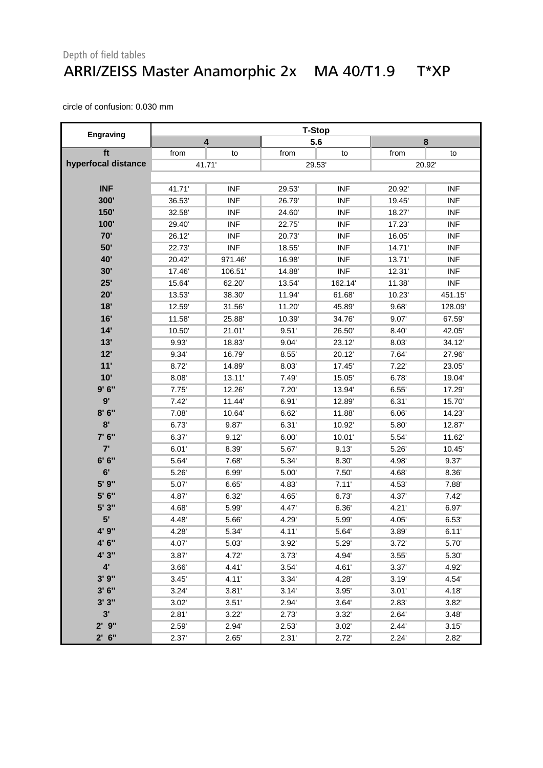#### Depth of field tables ARRI/ZEISS Master Anamorphic 2x MA 40/T1.9 T\*XP

|                     | <b>T-Stop</b> |            |        |            |        |            |
|---------------------|---------------|------------|--------|------------|--------|------------|
| Engraving           |               | 4          |        | 5.6        |        | $\bf 8$    |
| ft                  | from          | to         | from   | to         | from   | to         |
| hyperfocal distance | 41.71'        |            |        | 29.53      | 20.92  |            |
|                     |               |            |        |            |        |            |
| <b>INF</b>          | 41.71'        | <b>INF</b> | 29.53  | <b>INF</b> | 20.92  | <b>INF</b> |
| 300'                | 36.53         | <b>INF</b> | 26.79  | <b>INF</b> | 19.45  | <b>INF</b> |
| 150'                | 32.58         | <b>INF</b> | 24.60  | <b>INF</b> | 18.27  | <b>INF</b> |
| 100'                | 29.40         | <b>INF</b> | 22.75  | <b>INF</b> | 17.23  | <b>INF</b> |
| 70'                 | 26.12         | <b>INF</b> | 20.73' | <b>INF</b> | 16.05  | <b>INF</b> |
| 50'                 | 22.73'        | <b>INF</b> | 18.55' | <b>INF</b> | 14.71' | <b>INF</b> |
| 40'                 | 20.42         | 971.46     | 16.98  | <b>INF</b> | 13.71' | <b>INF</b> |
| 30'                 | 17.46         | 106.51'    | 14.88' | <b>INF</b> | 12.31' | <b>INF</b> |
| 25'                 | 15.64         | 62.20      | 13.54  | 162.14     | 11.38  | <b>INF</b> |
| 20'                 | 13.53         | 38.30      | 11.94  | 61.68      | 10.23  | 451.15     |
| 18'                 | 12.59         | 31.56      | 11.20  | 45.89      | 9.68'  | 128.09     |
| 16'                 | 11.58         | 25.88      | 10.39  | 34.76'     | 9.07   | 67.59      |
| 14'                 | 10.50         | 21.01'     | 9.51'  | 26.50      | 8.40'  | 42.05      |
| 13'                 | 9.93          | 18.83      | 9.04'  | 23.12      | 8.03'  | 34.12'     |
| 12'                 | 9.34          | 16.79      | 8.55'  | 20.12'     | 7.64   | 27.96      |
| 11'                 | 8.72          | 14.89      | 8.03'  | 17.45      | 7.22'  | 23.05'     |
| 10'                 | 8.08          | 13.11'     | 7.49   | 15.05      | 6.78'  | 19.04      |
| 9'6''               | 7.75'         | 12.26      | 7.20'  | 13.94'     | 6.55'  | 17.29      |
| 9'                  | 7.42'         | 11.44      | 6.91'  | 12.89      | 6.31'  | 15.70      |
| 8'6''               | 7.08          | 10.64      | 6.62'  | 11.88      | 6.06'  | 14.23      |
| 8'                  | 6.73'         | 9.87       | 6.31'  | 10.92'     | 5.80   | 12.87      |
| 7' 6"               | 6.37          | 9.12'      | 6.00'  | 10.01'     | 5.54   | 11.62      |
| 7'                  | 6.01'         | 8.39       | 5.67   | 9.13'      | 5.26'  | 10.45      |
| 6' 6''              | 5.64          | 7.68       | 5.34   | 8.30'      | 4.98'  | 9.37'      |
| 6'                  | 5.26          | 6.99'      | 5.00'  | 7.50'      | 4.68'  | 8.36'      |
| 5' 9"               | 5.07          | 6.65       | 4.83   | 7.11'      | 4.53'  | 7.88       |
| 5' 6"               | 4.87          | 6.32'      | 4.65   | 6.73'      | 4.37   | 7.42'      |
| 5'3"                | 4.68          | 5.99       | 4.47   | 6.36       | 4.21'  | 6.97       |
| 5'                  | 4.48          | 5.66       | 4.29   | 5.99       | 4.05   | 6.53'      |
| 4' 9"               | 4.28'         | 5.34'      | 4.11'  | 5.64'      | 3.89'  | 6.11'      |
| 4' 6"               | 4.07          | 5.03       | 3.92   | 5.29       | 3.72'  | 5.70       |
| 4' 3"               | 3.87          | 4.72       | 3.73'  | 4.94       | 3.55'  | 5.30       |
| $4^{\prime}$        | 3.66          | 4.41'      | 3.54'  | 4.61'      | 3.37'  | 4.92'      |
| 3'9''               | 3.45'         | 4.11'      | 3.34'  | 4.28'      | 3.19'  | 4.54       |
| 3'6''               | 3.24'         | 3.81'      | 3.14'  | 3.95'      | 3.01'  | 4.18       |
| 3'3''               | 3.02'         | 3.51'      | 2.94   | 3.64'      | 2.83   | 3.82       |
| 3'                  | 2.81'         | 3.22'      | 2.73'  | 3.32'      | 2.64'  | 3.48'      |
| $2'$ $9''$          | 2.59'         | 2.94       | 2.53'  | 3.02'      | 2.44'  | 3.15'      |
| $2'$ 6"             | 2.37'         | 2.65'      | 2.31'  | 2.72'      | 2.24'  | 2.82'      |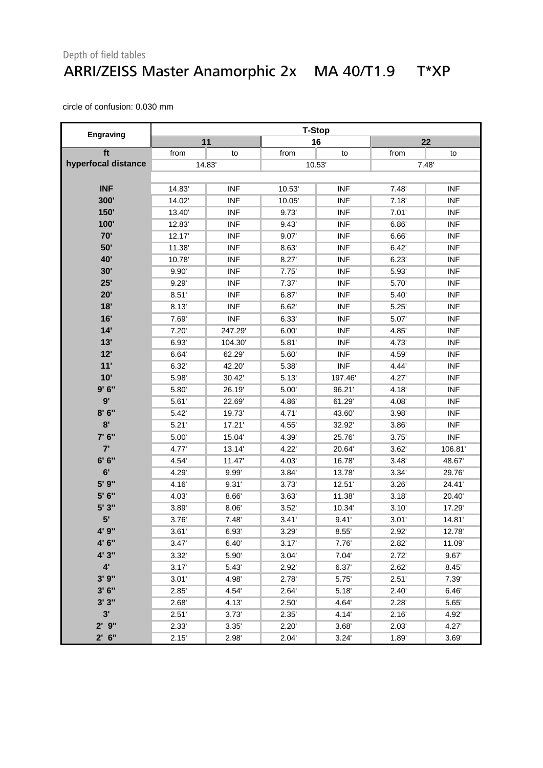#### Depth of field tables ARRI/ZEISS Master Anamorphic 2x MA 40/T1.9 T\*XP

|                     | <b>T-Stop</b> |            |       |            |       |            |
|---------------------|---------------|------------|-------|------------|-------|------------|
| Engraving           |               | 11         |       | 16         |       | 22         |
| ft                  | from          | to         | from  | to         | from  | to         |
| hyperfocal distance |               | 14.83      | 10.53 |            | 7.48' |            |
|                     |               |            |       |            |       |            |
| <b>INF</b>          | 14.83         | <b>INF</b> | 10.53 | <b>INF</b> | 7.48' | <b>INF</b> |
| 300'                | 14.02         | <b>INF</b> | 10.05 | <b>INF</b> | 7.18' | <b>INF</b> |
| 150'                | 13.40         | <b>INF</b> | 9.73  | <b>INF</b> | 7.01' | <b>INF</b> |
| 100'                | 12.83         | <b>INF</b> | 9.43' | <b>INF</b> | 6.86  | <b>INF</b> |
| 70'                 | 12.17         | <b>INF</b> | 9.07' | <b>INF</b> | 6.66' | <b>INF</b> |
| 50'                 | 11.38         | <b>INF</b> | 8.63' | <b>INF</b> | 6.42' | <b>INF</b> |
| 40'                 | 10.78         | <b>INF</b> | 8.27  | <b>INF</b> | 6.23' | <b>INF</b> |
| 30'                 | 9.90'         | <b>INF</b> | 7.75' | <b>INF</b> | 5.93  | <b>INF</b> |
| 25'                 | 9.29          | <b>INF</b> | 7.37' | <b>INF</b> | 5.70  | <b>INF</b> |
| 20'                 | 8.51'         | <b>INF</b> | 6.87  | <b>INF</b> | 5.40' | <b>INF</b> |
| 18'                 | 8.13'         | <b>INF</b> | 6.62' | <b>INF</b> | 5.25' | <b>INF</b> |
| 16'                 | 7.69          | <b>INF</b> | 6.33' | <b>INF</b> | 5.07  | <b>INF</b> |
| 14'                 | 7.20'         | 247.29     | 6.00' | <b>INF</b> | 4.85' | <b>INF</b> |
| 13'                 | 6.93'         | 104.30     | 5.81' | <b>INF</b> | 4.73' | <b>INF</b> |
| 12'                 | 6.64          | 62.29      | 5.60  | <b>INF</b> | 4.59' | <b>INF</b> |
| 11'                 | 6.32'         | 42.20      | 5.38  | <b>INF</b> | 4.44  | <b>INF</b> |
| 10'                 | 5.98          | 30.42      | 5.13' | 197.46     | 4.27  | <b>INF</b> |
| 9'6''               | 5.80          | 26.19      | 5.00' | 96.21'     | 4.18  | <b>INF</b> |
| 9'                  | 5.61'         | 22.69      | 4.86  | 61.29'     | 4.08' | <b>INF</b> |
| 8'6''               | 5.42'         | 19.73      | 4.71' | 43.60      | 3.98' | <b>INF</b> |
| 8'                  | 5.21'         | 17.21'     | 4.55' | 32.92'     | 3.86' | <b>INF</b> |
| 7' 6"               | 5.00          | 15.04      | 4.39  | 25.76      | 3.75' | <b>INF</b> |
| 7'                  | 4.77          | 13.14      | 4.22' | 20.64      | 3.62' | 106.81     |
| 6' 6''              | 4.54          | 11.47      | 4.03' | 16.78'     | 3.48' | 48.67      |
| 6'                  | 4.29          | 9.99'      | 3.84' | 13.78'     | 3.34' | 29.76      |
| 5' 9"               | 4.16          | 9.31'      | 3.73' | 12.51'     | 3.26' | 24.41'     |
| 5' 6"               | 4.03          | 8.66'      | 3.63' | 11.38      | 3.18' | 20.40      |
| 5' 3"               | 3.89          | 8.06'      | 3.52' | 10.34      | 3.10' | 17.29'     |
| 5'                  | 3.76'         | 7.48'      | 3.41' | 9.41'      | 3.01' | 14.81      |
| 4' 9"               | 3.61'         | 6.93       | 3.29  | 8.55       | 2.92  | 12.78      |
| 4' 6"               | 3.47'         | 6.40'      | 3.17' | 7.76       | 2.82  | 11.09'     |
| 4' 3"               | 3.32'         | 5.90       | 3.04' | 7.04'      | 2.72' | 9.67       |
| $4^{\prime}$        | 3.17'         | 5.43'      | 2.92' | 6.37'      | 2.62' | 8.45'      |
| 3'9''               | 3.01'         | 4.98'      | 2.78' | 5.75       | 2.51' | 7.39'      |
| 3'6''               | 2.85'         | 4.54       | 2.64' | 5.18       | 2.40' | 6.46'      |
| 3'3''               | 2.68          | 4.13       | 2.50' | 4.64       | 2.28' | 5.65       |
| 3'                  | 2.51'         | 3.73'      | 2.35' | 4.14       | 2.16' | 4.92       |
| $2'$ $9''$          | 2.33'         | 3.35'      | 2.20' | 3.68'      | 2.03' | 4.27       |
| $2'$ 6"             | 2.15'         | 2.98       | 2.04' | 3.24'      | 1.89  | 3.69       |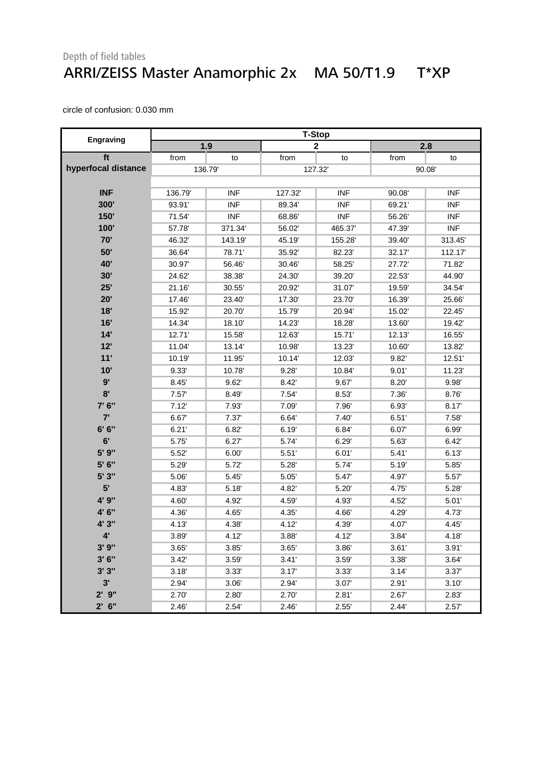#### Depth of field tables ARRI/ZEISS Master Anamorphic 2x MA 50/T1.9 T\*XP

|                     | <b>T-Stop</b> |            |        |                         |        |            |
|---------------------|---------------|------------|--------|-------------------------|--------|------------|
| Engraving           | 1.9           |            |        | $\overline{\mathbf{2}}$ |        | 2.8        |
| ft                  | from          | to         | from   | to                      | from   | to         |
| hyperfocal distance | 136.79        |            |        | 127.32                  |        | 90.08      |
|                     |               |            |        |                         |        |            |
| <b>INF</b>          | 136.79        | <b>INF</b> | 127.32 | <b>INF</b>              | 90.08  | <b>INF</b> |
| 300'                | 93.91'        | <b>INF</b> | 89.34  | <b>INF</b>              | 69.21' | <b>INF</b> |
| 150'                | 71.54         | <b>INF</b> | 68.86  | <b>INF</b>              | 56.26  | <b>INF</b> |
| 100'                | 57.78         | 371.34     | 56.02  | 465.37                  | 47.39' | <b>INF</b> |
| 70'                 | 46.32         | 143.19'    | 45.19' | 155.28                  | 39.40  | 313.45     |
| 50'                 | 36.64         | 78.71      | 35.92  | 82.23                   | 32.17  | 112.17     |
| 40'                 | 30.97         | 56.46      | 30.46  | 58.25                   | 27.72  | 71.82      |
| 30'                 | 24.62         | 38.38      | 24.30  | 39.20'                  | 22.53  | 44.90      |
| 25'                 | 21.16         | 30.55      | 20.92  | 31.07                   | 19.59  | 34.54      |
| 20'                 | 17.46         | 23.40      | 17.30  | 23.70                   | 16.39  | 25.66      |
| 18'                 | 15.92         | 20.70      | 15.79  | 20.94'                  | 15.02  | 22.45      |
| 16'                 | 14.34         | 18.10      | 14.23  | 18.28                   | 13.60  | 19.42      |
| 14'                 | 12.71'        | 15.58      | 12.63  | 15.71'                  | 12.13' | 16.55      |
| 12'                 | 11.04         | 13.14      | 10.98' | 13.23'                  | 10.60  | 13.82      |
| 11'                 | 10.19         | 11.95      | 10.14' | 12.03                   | 9.82   | 12.51      |
| 10'                 | 9.33'         | 10.78      | 9.28'  | 10.84                   | 9.01'  | 11.23      |
| 9'                  | 8.45'         | 9.62'      | 8.42   | 9.67                    | 8.20'  | 9.98'      |
| 8'                  | 7.57'         | 8.49       | 7.54'  | 8.53'                   | 7.36'  | 8.76'      |
| 7' 6"               | 7.12'         | 7.93       | 7.09   | 7.96                    | 6.93'  | 8.17       |
| 7'                  | 6.67          | 7.37       | 6.64   | 7.40'                   | 6.51'  | 7.58'      |
| 6' 6''              | 6.21'         | 6.82       | 6.19'  | 6.84                    | 6.07   | 6.99'      |
| 6'                  | 5.75          | 6.27'      | 5.74   | 6.29'                   | 5.63   | 6.42'      |
| 5' 9"               | 5.52          | 6.00'      | 5.51'  | 6.01'                   | 5.41'  | 6.13'      |
| 5' 6"               | 5.29          | 5.72       | 5.28'  | 5.74                    | 5.19   | 5.85       |
| 5' 3"               | 5.06          | 5.45'      | 5.05'  | 5.47'                   | 4.97   | 5.57'      |
| 5'                  | 4.83          | 5.18       | 4.82   | 5.20                    | 4.75   | 5.28'      |
| 4' 9"               | 4.60          | 4.92       | 4.59   | 4.93'                   | 4.52   | 5.01'      |
| 4' 6"               | 4.36          | 4.65       | 4.35   | 4.66                    | 4.29   | 4.73'      |
| 4' 3"               | 4.13          | 4.38'      | 4.12   | 4.39                    | 4.07   | 4.45       |
|                     | 3.89'         | 4.12       | 3.88'  | 4.12                    | 3.84'  | 4.18'      |
| 3'9''               | 3.65'         | 3.85'      | 3.65'  | 3.86                    | 3.61'  | 3.91'      |
| 3'6''               | 3.42'         | 3.59'      | 3.41'  | 3.59'                   | 3.38'  | 3.64'      |
| 3'3''               | 3.18'         | 3.33'      | 3.17'  | 3.33'                   | 3.14'  | 3.37'      |
| 3'                  | 2.94          | 3.06'      | 2.94'  | 3.07'                   | 2.91'  | 3.10'      |
| $2'$ $9''$          | 2.70'         | 2.80'      | 2.70'  | 2.81'                   | 2.67'  | 2.83'      |
| $2'$ 6"             | 2.46'         | 2.54'      | 2.46'  | 2.55'                   | 2.44'  | 2.57'      |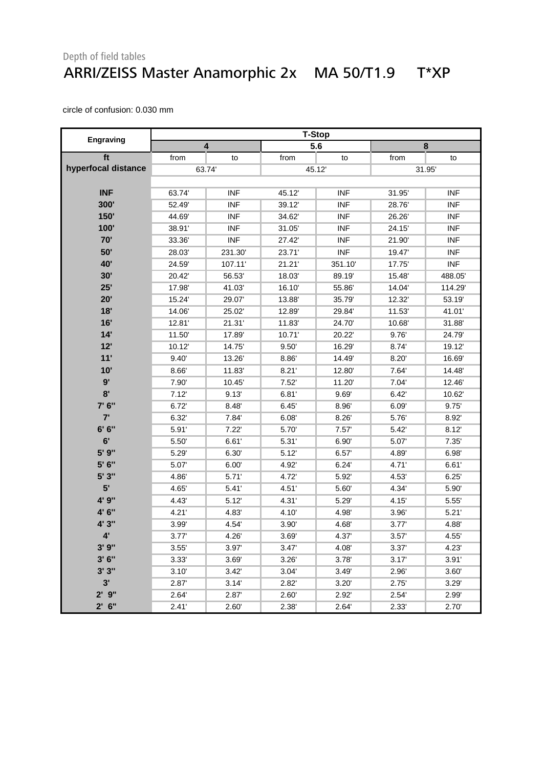#### Depth of field tables ARRI/ZEISS Master Anamorphic 2x MA 50/T1.9 T\*XP

|                        |        |            |        | <b>T-Stop</b> |       |            |  |  |  |
|------------------------|--------|------------|--------|---------------|-------|------------|--|--|--|
| Engraving              |        | 4          |        | 5.6           |       | 8          |  |  |  |
| ft                     | from   | to         | from   | to            | from  | to         |  |  |  |
| hyperfocal distance    | 63.74  |            |        | 45.12         | 31.95 |            |  |  |  |
|                        |        |            |        |               |       |            |  |  |  |
| <b>INF</b>             | 63.74  | <b>INF</b> | 45.12  | <b>INF</b>    | 31.95 | <b>INF</b> |  |  |  |
| 300'                   | 52.49  | <b>INF</b> | 39.12  | <b>INF</b>    | 28.76 | <b>INF</b> |  |  |  |
| 150'                   | 44.69  | <b>INF</b> | 34.62  | <b>INF</b>    | 26.26 | <b>INF</b> |  |  |  |
| 100'                   | 38.91' | <b>INF</b> | 31.05  | <b>INF</b>    | 24.15 | <b>INF</b> |  |  |  |
| 70'                    | 33.36  | <b>INF</b> | 27.42  | <b>INF</b>    | 21.90 | <b>INF</b> |  |  |  |
| 50'                    | 28.03  | 231.30     | 23.71' | <b>INF</b>    | 19.47 | <b>INF</b> |  |  |  |
| 40'                    | 24.59  | 107.11'    | 21.21' | 351.10        | 17.75 | <b>INF</b> |  |  |  |
| 30'                    | 20.42  | 56.53      | 18.03' | 89.19         | 15.48 | 488.05     |  |  |  |
| 25'                    | 17.98  | 41.03      | 16.10  | 55.86         | 14.04 | 114.29     |  |  |  |
| 20'                    | 15.24  | 29.07      | 13.88  | 35.79'        | 12.32 | 53.19      |  |  |  |
| 18'                    | 14.06  | 25.02      | 12.89  | 29.84         | 11.53 | 41.01'     |  |  |  |
| 16'                    | 12.81  | 21.31'     | 11.83  | 24.70         | 10.68 | 31.88      |  |  |  |
| 14'                    | 11.50  | 17.89      | 10.71' | 20.22         | 9.76  | 24.79'     |  |  |  |
| 12'                    | 10.12  | 14.75      | 9.50'  | 16.29         | 8.74  | 19.12      |  |  |  |
| 11'                    | 9.40'  | 13.26      | 8.86   | 14.49         | 8.20' | 16.69      |  |  |  |
| 10'                    | 8.66'  | 11.83      | 8.21'  | 12.80         | 7.64  | 14.48      |  |  |  |
| 9'                     | 7.90   | 10.45      | 7.52'  | 11.20         | 7.04' | 12.46      |  |  |  |
| 8'                     | 7.12'  | 9.13'      | 6.81'  | 9.69'         | 6.42' | 10.62      |  |  |  |
| 7' 6"                  | 6.72   | 8.48       | 6.45'  | 8.96'         | 6.09' | 9.75'      |  |  |  |
| 7'                     | 6.32   | 7.84       | 6.08'  | 8.26'         | 5.76  | 8.92'      |  |  |  |
| 6' 6''                 | 5.91'  | 7.22'      | 5.70   | 7.57'         | 5.42' | 8.12'      |  |  |  |
| 6'                     | 5.50   | 6.61'      | 5.31'  | 6.90'         | 5.07  | 7.35'      |  |  |  |
| 5' 9"                  | 5.29   | 6.30'      | 5.12'  | 6.57'         | 4.89  | 6.98'      |  |  |  |
| 5' 6"                  | 5.07   | 6.00'      | 4.92   | 6.24'         | 4.71' | 6.61'      |  |  |  |
| 5' 3"                  | 4.86   | 5.71'      | 4.72   | 5.92          | 4.53  | 6.25'      |  |  |  |
| 5'                     | 4.65   | 5.41'      | 4.51'  | 5.60'         | 4.34  | 5.90       |  |  |  |
| 4' 9"                  | 4.43   | 5.12'      | 4.31'  | 5.29'         | 4.15  | 5.55       |  |  |  |
| 4' 6"                  | 4.21'  | 4.83       | 4.10'  | 4.98'         | 3.96' | 5.21'      |  |  |  |
| 4' 3"                  | 3.99   | 4.54       | 3.90'  | 4.68          | 3.77' | 4.88       |  |  |  |
| $\mathbf{A}^{\bullet}$ | 3.77'  | 4.26       | 3.69   | 4.37          | 3.57' | 4.55'      |  |  |  |
| 3'9''                  | 3.55'  | 3.97'      | 3.47'  | 4.08'         | 3.37' | 4.23       |  |  |  |
| 3'6''                  | 3.33'  | 3.69       | 3.26'  | 3.78          | 3.17' | 3.91'      |  |  |  |
| 3'3''                  | 3.10'  | 3.42'      | 3.04'  | 3.49'         | 2.96' | 3.60'      |  |  |  |
| 3'                     | 2.87   | 3.14'      | 2.82'  | 3.20'         | 2.75' | 3.29'      |  |  |  |
| $2'$ $9''$             | 2.64'  | 2.87       | 2.60'  | 2.92'         | 2.54' | 2.99'      |  |  |  |
| $2'$ 6"                | 2.41'  | 2.60'      | 2.38'  | 2.64'         | 2.33' | 2.70'      |  |  |  |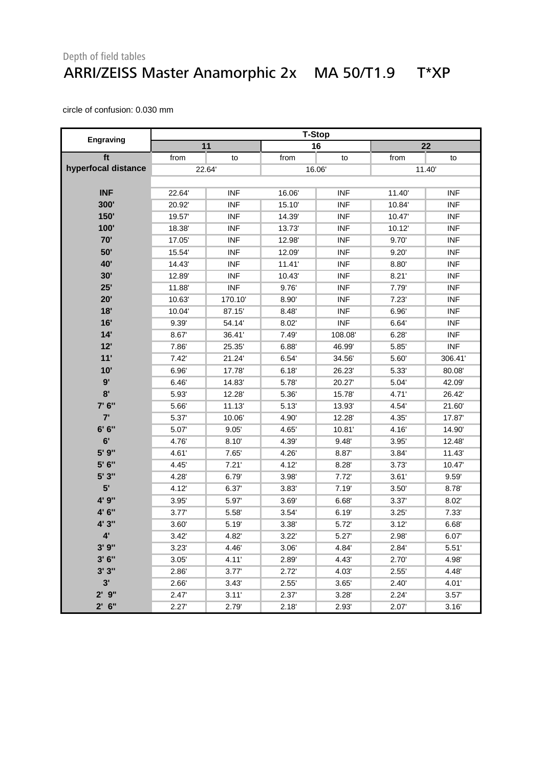#### Depth of field tables ARRI/ZEISS Master Anamorphic 2x MA 50/T1.9 T\*XP

|                     |       |            |        | <b>T-Stop</b> |        |            |  |
|---------------------|-------|------------|--------|---------------|--------|------------|--|
| Engraving           |       | 11         |        | 16            |        | 22         |  |
| ft                  | from  | to         | from   | to            | from   | to         |  |
| hyperfocal distance | 22.64 |            |        | 16.06         |        | 11.40      |  |
|                     |       |            |        |               |        |            |  |
| <b>INF</b>          | 22.64 | <b>INF</b> | 16.06  | <b>INF</b>    | 11.40  | <b>INF</b> |  |
| 300'                | 20.92 | <b>INF</b> | 15.10  | <b>INF</b>    | 10.84  | <b>INF</b> |  |
| 150'                | 19.57 | <b>INF</b> | 14.39' | <b>INF</b>    | 10.47  | <b>INF</b> |  |
| 100'                | 18.38 | <b>INF</b> | 13.73' | <b>INF</b>    | 10.12' | <b>INF</b> |  |
| 70'                 | 17.05 | <b>INF</b> | 12.98' | <b>INF</b>    | 9.70'  | <b>INF</b> |  |
| 50'                 | 15.54 | <b>INF</b> | 12.09' | <b>INF</b>    | 9.20'  | <b>INF</b> |  |
| <b>40'</b>          | 14.43 | <b>INF</b> | 11.41' | <b>INF</b>    | 8.80'  | <b>INF</b> |  |
| 30'                 | 12.89 | <b>INF</b> | 10.43  | <b>INF</b>    | 8.21'  | <b>INF</b> |  |
| 25'                 | 11.88 | <b>INF</b> | 9.76   | <b>INF</b>    | 7.79   | <b>INF</b> |  |
| 20'                 | 10.63 | 170.10     | 8.90   | <b>INF</b>    | 7.23'  | <b>INF</b> |  |
| 18'                 | 10.04 | 87.15      | 8.48   | <b>INF</b>    | 6.96'  | <b>INF</b> |  |
| 16'                 | 9.39  | 54.14      | 8.02'  | <b>INF</b>    | 6.64   | <b>INF</b> |  |
| 14'                 | 8.67  | 36.41'     | 7.49   | 108.08        | 6.28'  | <b>INF</b> |  |
| 12'                 | 7.86  | 25.35      | 6.88'  | 46.99         | 5.85'  | <b>INF</b> |  |
| 11'                 | 7.42' | 21.24      | 6.54'  | 34.56         | 5.60   | 306.41     |  |
| 10'                 | 6.96  | 17.78      | 6.18'  | 26.23'        | 5.33   | 80.08      |  |
| 9'                  | 6.46' | 14.83      | 5.78   | 20.27         | 5.04   | 42.09'     |  |
| 8'                  | 5.93  | 12.28      | 5.36   | 15.78         | 4.71'  | 26.42      |  |
| 7' 6"               | 5.66  | 11.13'     | 5.13'  | 13.93'        | 4.54   | 21.60      |  |
| 7'                  | 5.37  | 10.06      | 4.90   | 12.28         | 4.35   | 17.87      |  |
| 6' 6''              | 5.07  | 9.05'      | 4.65   | 10.81'        | 4.16   | 14.90      |  |
| 6'                  | 4.76  | 8.10'      | 4.39'  | 9.48'         | 3.95'  | 12.48      |  |
| 5' 9"               | 4.61' | 7.65       | 4.26   | 8.87          | 3.84   | 11.43      |  |
| 5' 6"               | 4.45  | 7.21'      | 4.12   | 8.28          | 3.73'  | 10.47      |  |
| 5' 3"               | 4.28  | 6.79       | 3.98   | 7.72'         | 3.61'  | 9.59'      |  |
| 5'                  | 4.12  | 6.37       | 3.83   | 7.19'         | 3.50'  | 8.78'      |  |
| 4' 9"               | 3.95' | 5.97       | 3.69   | 6.68'         | 3.37'  | 8.02'      |  |
| 4' 6"               | 3.77' | 5.58       | 3.54'  | 6.19'         | 3.25'  | 7.33'      |  |
| 4' 3"               | 3.60' | 5.19'      | 3.38'  | 5.72          | 3.12'  | 6.68'      |  |
|                     | 3.42' | 4.82       | 3.22'  | 5.27'         | 2.98'  | 6.07'      |  |
| 3'9''               | 3.23' | 4.46       | 3.06'  | 4.84          | 2.84   | 5.51'      |  |
| 3'6''               | 3.05' | 4.11'      | 2.89   | 4.43          | 2.70   | 4.98'      |  |
| 3'3''               | 2.86  | 3.77'      | 2.72'  | 4.03          | 2.55'  | 4.48       |  |
| 3'                  | 2.66  | 3.43'      | 2.55'  | 3.65'         | 2.40'  | 4.01'      |  |
| $2'$ $9''$          | 2.47  | 3.11'      | 2.37'  | 3.28'         | 2.24'  | 3.57'      |  |
| $2'$ 6"             | 2.27' | 2.79       | 2.18'  | 2.93'         | 2.07'  | 3.16'      |  |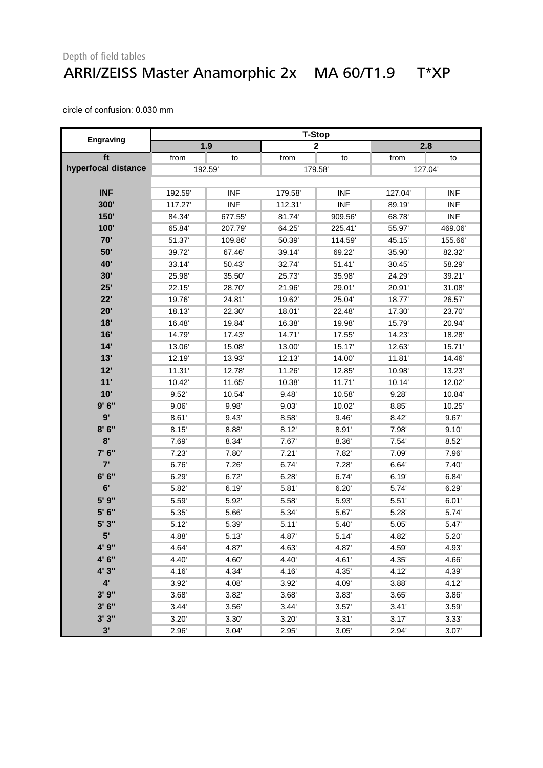#### Depth of field tables ARRI/ZEISS Master Anamorphic 2x MA 60/T1.9 T\*XP

|                     | <b>T-Stop</b> |            |         |             |        |            |  |
|---------------------|---------------|------------|---------|-------------|--------|------------|--|
| Engraving           | 1.9           |            |         | $\mathbf 2$ |        | 2.8        |  |
| ft                  | from          | to         | from    | to          | from   | to         |  |
| hyperfocal distance | 192.59        |            |         | 179.58      | 127.04 |            |  |
|                     |               |            |         |             |        |            |  |
| <b>INF</b>          | 192.59        | <b>INF</b> | 179.58  | <b>INF</b>  | 127.04 | <b>INF</b> |  |
| 300'                | 117.27        | <b>INF</b> | 112.31' | <b>INF</b>  | 89.19  | <b>INF</b> |  |
| 150'                | 84.34         | 677.55     | 81.74   | 909.56'     | 68.78  | <b>INF</b> |  |
| 100'                | 65.84         | 207.79'    | 64.25   | 225.41'     | 55.97  | 469.06     |  |
| 70'                 | 51.37         | 109.86     | 50.39   | 114.59'     | 45.15  | 155.66     |  |
| 50'                 | 39.72         | 67.46      | 39.14   | 69.22'      | 35.90  | 82.32'     |  |
| 40'                 | 33.14         | 50.43      | 32.74   | 51.41'      | 30.45  | 58.29      |  |
| 30'                 | 25.98         | 35.50      | 25.73   | 35.98       | 24.29  | 39.21'     |  |
| 25'                 | 22.15         | 28.70      | 21.96'  | 29.01'      | 20.91' | 31.08'     |  |
| 22'                 | 19.76         | 24.81      | 19.62   | 25.04       | 18.77  | 26.57      |  |
| 20'                 | 18.13         | 22.30      | 18.01'  | 22.48       | 17.30  | 23.70      |  |
| 18'                 | 16.48         | 19.84      | 16.38   | 19.98       | 15.79  | 20.94'     |  |
| 16'                 | 14.79         | 17.43      | 14.71'  | 17.55       | 14.23  | 18.28'     |  |
| 14'                 | 13.06'        | 15.08      | 13.00   | 15.17       | 12.63  | 15.71      |  |
| 13'                 | 12.19         | 13.93      | 12.13'  | 14.00       | 11.81  | 14.46      |  |
| 12'                 | 11.31         | 12.78      | 11.26   | 12.85       | 10.98  | 13.23'     |  |
| 11'                 | 10.42         | 11.65      | 10.38   | 11.71'      | 10.14  | 12.02      |  |
| 10'                 | 9.52'         | 10.54      | 9.48'   | 10.58       | 9.28'  | 10.84      |  |
| 9'6''               | 9.06'         | 9.98       | 9.03'   | 10.02       | 8.85'  | 10.25      |  |
| 9'                  | 8.61'         | 9.43'      | 8.58'   | 9.46'       | 8.42   | 9.67       |  |
| 8'6''               | 8.15'         | 8.88       | 8.12'   | 8.91'       | 7.98'  | 9.10'      |  |
| 8'                  | 7.69          | 8.34       | 7.67    | 8.36        | 7.54'  | 8.52'      |  |
| 7' 6"               | 7.23'         | 7.80       | 7.21'   | 7.82        | 7.09'  | 7.96'      |  |
| 7'                  | 6.76          | 7.26'      | 6.74    | 7.28'       | 6.64   | 7.40'      |  |
| 6' 6''              | 6.29'         | 6.72       | 6.28    | 6.74        | 6.19'  | 6.84       |  |
| 6'                  | 5.82          | 6.19'      | 5.81'   | 6.20'       | 5.74   | 6.29'      |  |
| 5' 9"               | 5.59          | 5.92       | 5.58'   | 5.93        | 5.51'  | 6.01'      |  |
| 5' 6"               | 5.35          | 5.66       | 5.34    | 5.67        | 5.28'  | 5.74       |  |
| 5' 3"               | 5.12'         | 5.39       | 5.11'   | 5.40'       | 5.05'  | 5.47       |  |
| 5'                  | 4.88          | 5.13'      | 4.87    | 5.14'       | 4.82   | 5.20'      |  |
| 4' 9"               | 4.64'         | 4.87'      | 4.63'   | 4.87'       | 4.59'  | 4.93'      |  |
| 4' 6"               | 4.40          | 4.60       | 4.40    | 4.61'       | 4.35'  | 4.66       |  |
| 4' 3"               | 4.16          | 4.34'      | 4.16    | 4.35'       | 4.12   | 4.39'      |  |
| $4^{\prime}$        | 3.92'         | 4.08'      | 3.92'   | 4.09'       | 3.88'  | 4.12       |  |
| 3'9''               | 3.68'         | 3.82       | 3.68'   | 3.83'       | 3.65'  | 3.86       |  |
| 3'6''               | 3.44'         | 3.56'      | 3.44'   | 3.57'       | 3.41'  | 3.59'      |  |
| 3'3''               | 3.20'         | 3.30       | 3.20'   | 3.31'       | 3.17'  | 3.33'      |  |
| 3'                  | 2.96          | 3.04'      | 2.95'   | 3.05'       | 2.94'  | 3.07'      |  |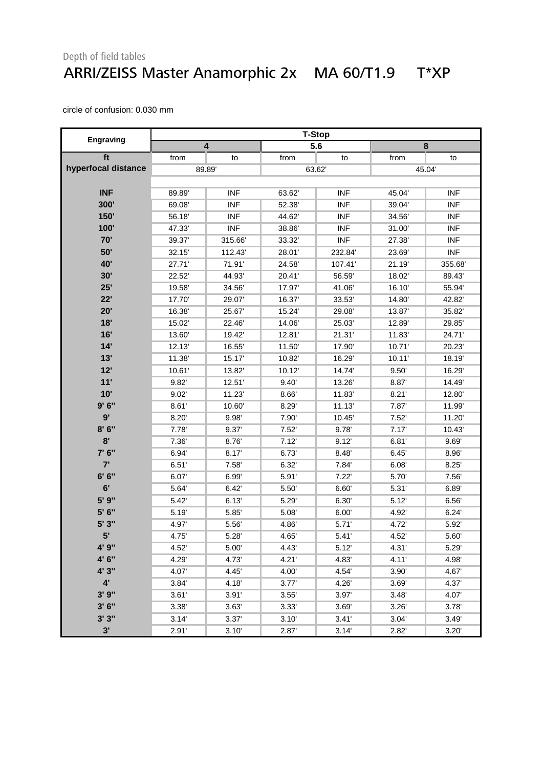#### Depth of field tables ARRI/ZEISS Master Anamorphic 2x MA 60/T1.9 T\*XP

|                     | <b>T-Stop</b> |            |        |            |        |            |  |  |
|---------------------|---------------|------------|--------|------------|--------|------------|--|--|
| Engraving           | 4             |            |        | 5.6        |        | 8          |  |  |
| ft                  | from          | to         | from   | to         | from   | to         |  |  |
| hyperfocal distance | 89.89         |            |        | 63.62      |        | 45.04      |  |  |
|                     |               |            |        |            |        |            |  |  |
| <b>INF</b>          | 89.89         | <b>INF</b> | 63.62  | <b>INF</b> | 45.04  | <b>INF</b> |  |  |
| 300'                | 69.08         | <b>INF</b> | 52.38' | <b>INF</b> | 39.04  | <b>INF</b> |  |  |
| <b>150'</b>         | 56.18         | <b>INF</b> | 44.62' | <b>INF</b> | 34.56  | <b>INF</b> |  |  |
| 100'                | 47.33'        | <b>INF</b> | 38.86  | <b>INF</b> | 31.00  | <b>INF</b> |  |  |
| 70'                 | 39.37         | 315.66     | 33.32  | <b>INF</b> | 27.38  | <b>INF</b> |  |  |
| 50'                 | 32.15         | 112.43     | 28.01' | 232.84     | 23.69  | <b>INF</b> |  |  |
| <b>40'</b>          | 27.71'        | 71.91'     | 24.58' | 107.41     | 21.19  | 355.68     |  |  |
| 30'                 | 22.52         | 44.93'     | 20.41' | 56.59      | 18.02  | 89.43      |  |  |
| 25'                 | 19.58         | 34.56      | 17.97  | 41.06'     | 16.10  | 55.94      |  |  |
| 22'                 | 17.70         | 29.07      | 16.37  | 33.53'     | 14.80  | 42.82      |  |  |
| 20'                 | 16.38         | 25.67      | 15.24  | 29.08'     | 13.87  | 35.82      |  |  |
| 18'                 | 15.02         | 22.46      | 14.06  | 25.03'     | 12.89  | 29.85      |  |  |
| 16'                 | 13.60         | 19.42      | 12.81  | 21.31'     | 11.83  | 24.71'     |  |  |
| 14'                 | 12.13         | 16.55      | 11.50  | 17.90      | 10.71' | 20.23'     |  |  |
| 13'                 | 11.38         | 15.17      | 10.82  | 16.29      | 10.11' | 18.19      |  |  |
| 12'                 | 10.61         | 13.82      | 10.12' | 14.74      | 9.50'  | 16.29      |  |  |
| 11'                 | 9.82          | 12.51'     | 9.40'  | 13.26'     | 8.87'  | 14.49      |  |  |
| 10'                 | 9.02'         | 11.23      | 8.66   | 11.83      | 8.21'  | 12.80      |  |  |
| 9'6''               | 8.61'         | 10.60      | 8.29   | 11.13'     | 7.87'  | 11.99      |  |  |
| 9'                  | 8.20          | 9.98'      | 7.90   | 10.45      | 7.52'  | 11.20      |  |  |
| 8'6''               | 7.78          | 9.37       | 7.52'  | 9.78       | 7.17'  | 10.43      |  |  |
| 8'                  | 7.36          | 8.76       | 7.12'  | 9.12'      | 6.81'  | 9.69'      |  |  |
| 7' 6"               | 6.94          | 8.17       | 6.73'  | 8.48'      | 6.45'  | 8.96'      |  |  |
| 7'                  | 6.51'         | 7.58       | 6.32   | 7.84       | 6.08'  | 8.25'      |  |  |
| 6' 6''              | 6.07          | 6.99       | 5.91'  | 7.22'      | 5.70   | 7.56'      |  |  |
| 6'                  | 5.64          | 6.42       | 5.50'  | 6.60'      | 5.31'  | 6.89       |  |  |
| 5' 9"               | 5.42'         | 6.13'      | 5.29   | 6.30'      | 5.12'  | 6.56'      |  |  |
| 5' 6"               | 5.19          | 5.85       | 5.08'  | 6.00'      | 4.92   | 6.24'      |  |  |
| 5' 3"               | 4.97          | 5.56       | 4.86   | 5.71'      | 4.72   | 5.92       |  |  |
| 5'                  | 4.75          | 5.28'      | 4.65   | 5.41'      | 4.52'  | 5.60       |  |  |
| 4' 9"               | 4.52          | 5.00       | 4.43   | 5.12'      | 4.31'  | 5.29       |  |  |
| 4' 6"               | 4.29          | 4.73'      | 4.21'  | 4.83       | 4.11'  | 4.98'      |  |  |
| 4' 3"               | 4.07          | 4.45       | 4.00   | 4.54       | 3.90'  | 4.67       |  |  |
| $4^{\prime}$        | 3.84'         | 4.18'      | 3.77'  | 4.26       | 3.69'  | 4.37       |  |  |
| 3'9''               | 3.61'         | 3.91'      | 3.55'  | 3.97'      | 3.48'  | 4.07       |  |  |
| 3'6''               | 3.38'         | 3.63'      | 3.33'  | 3.69'      | 3.26'  | 3.78'      |  |  |
| 3'3''               | 3.14'         | 3.37'      | 3.10'  | 3.41'      | 3.04'  | 3.49'      |  |  |
| 3'                  | 2.91'         | 3.10'      | 2.87   | 3.14'      | 2.82   | 3.20'      |  |  |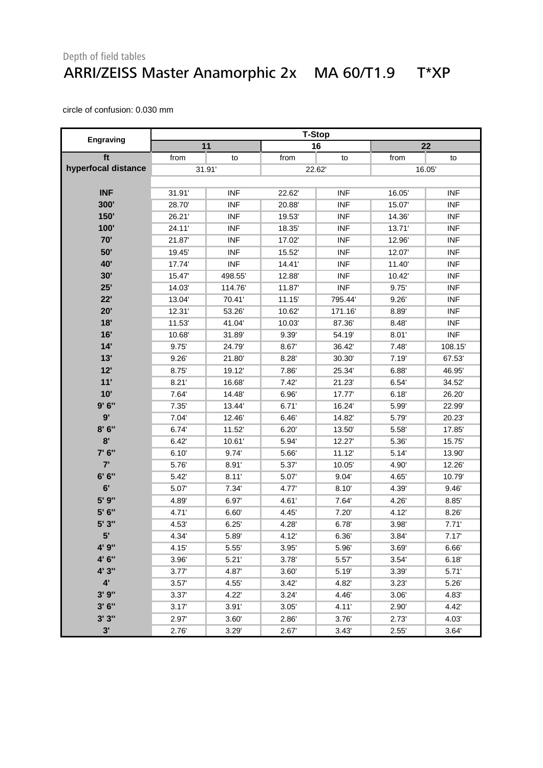#### Depth of field tables ARRI/ZEISS Master Anamorphic 2x MA 60/T1.9 T\*XP

|                     | <b>T-Stop</b> |            |        |            |        |            |  |
|---------------------|---------------|------------|--------|------------|--------|------------|--|
| Engraving           |               | 11         |        | 16         |        | 22         |  |
| ft                  | from          | to         | from   | to         | from   | to         |  |
| hyperfocal distance |               | 31.91'     |        | 22.62      | 16.05  |            |  |
|                     |               |            |        |            |        |            |  |
| <b>INF</b>          | 31.91         | <b>INF</b> | 22.62  | <b>INF</b> | 16.05  | <b>INF</b> |  |
| 300'                | 28.70         | <b>INF</b> | 20.88  | <b>INF</b> | 15.07  | <b>INF</b> |  |
| 150'                | 26.21'        | <b>INF</b> | 19.53  | <b>INF</b> | 14.36  | <b>INF</b> |  |
| 100'                | 24.11'        | <b>INF</b> | 18.35  | <b>INF</b> | 13.71' | <b>INF</b> |  |
| 70'                 | 21.87         | <b>INF</b> | 17.02  | <b>INF</b> | 12.96  | <b>INF</b> |  |
| 50'                 | 19.45         | <b>INF</b> | 15.52  | <b>INF</b> | 12.07  | <b>INF</b> |  |
| <b>40'</b>          | 17.74         | <b>INF</b> | 14.41' | <b>INF</b> | 11.40  | <b>INF</b> |  |
| 30'                 | 15.47         | 498.55'    | 12.88  | <b>INF</b> | 10.42  | <b>INF</b> |  |
| 25'                 | 14.03         | 114.76     | 11.87  | <b>INF</b> | 9.75   | <b>INF</b> |  |
| 22'                 | 13.04         | 70.41'     | 11.15' | 795.44     | 9.26'  | <b>INF</b> |  |
| 20'                 | 12.31'        | 53.26      | 10.62  | 171.16     | 8.89   | <b>INF</b> |  |
| 18'                 | 11.53         | 41.04      | 10.03  | 87.36'     | 8.48   | <b>INF</b> |  |
| 16'                 | 10.68         | 31.89      | 9.39'  | 54.19'     | 8.01'  | <b>INF</b> |  |
| 14'                 | 9.75'         | 24.79      | 8.67   | 36.42      | 7.48'  | 108.15     |  |
| 13'                 | 9.26'         | 21.80      | 8.28'  | 30.30      | 7.19'  | 67.53      |  |
| 12'                 | 8.75          | 19.12      | 7.86   | 25.34      | 6.88'  | 46.95      |  |
| 11'                 | 8.21'         | 16.68      | 7.42'  | 21.23'     | 6.54   | 34.52'     |  |
| 10'                 | 7.64          | 14.48      | 6.96'  | 17.77      | 6.18'  | 26.20      |  |
| 9'6''               | 7.35'         | 13.44      | 6.71'  | 16.24      | 5.99   | 22.99      |  |
| 9'                  | 7.04'         | 12.46      | 6.46'  | 14.82'     | 5.79   | 20.23'     |  |
| 8'6''               | 6.74          | 11.52      | 6.20'  | 13.50      | 5.58   | 17.85      |  |
| 8'                  | 6.42'         | 10.61'     | 5.94   | 12.27      | 5.36'  | 15.75      |  |
| 7' 6"               | 6.10'         | 9.74       | 5.66'  | 11.12'     | 5.14'  | 13.90      |  |
| 7'                  | 5.76          | 8.91'      | 5.37   | 10.05      | 4.90   | 12.26      |  |
| 6' 6''              | 5.42          | 8.11'      | 5.07   | 9.04'      | 4.65   | 10.79      |  |
| 6'                  | 5.07          | 7.34       | 4.77   | 8.10'      | 4.39'  | 9.46'      |  |
| 5' 9"               | 4.89          | 6.97       | 4.61'  | 7.64       | 4.26   | 8.85'      |  |
| 5' 6"               | 4.71'         | 6.60       | 4.45   | 7.20'      | 4.12   | 8.26'      |  |
| 5' 3"               | 4.53          | 6.25'      | 4.28   | 6.78       | 3.98'  | 7.71'      |  |
| 5'                  | 4.34          | 5.89       | 4.12   | 6.36'      | 3.84'  | 7.17'      |  |
| 4' 9"               | 4.15          | 5.55'      | 3.95'  | 5.96       | 3.69'  | 6.66       |  |
| 4' 6"               | 3.96'         | 5.21'      | 3.78'  | 5.57'      | 3.54'  | 6.18'      |  |
| 4' 3"               | 3.77'         | 4.87       | 3.60'  | 5.19       | 3.39'  | 5.71'      |  |
| $4^{\prime}$        | 3.57'         | 4.55'      | 3.42'  | 4.82       | 3.23'  | 5.26'      |  |
| 3'9''               | 3.37'         | 4.22'      | 3.24'  | 4.46       | 3.06'  | 4.83'      |  |
| 3'6''               | 3.17'         | 3.91'      | 3.05'  | 4.11'      | 2.90'  | 4.42       |  |
| 3'3''               | 2.97          | 3.60'      | 2.86'  | 3.76       | 2.73'  | 4.03'      |  |
| 3'                  | 2.76          | 3.29'      | 2.67   | 3.43'      | 2.55'  | 3.64'      |  |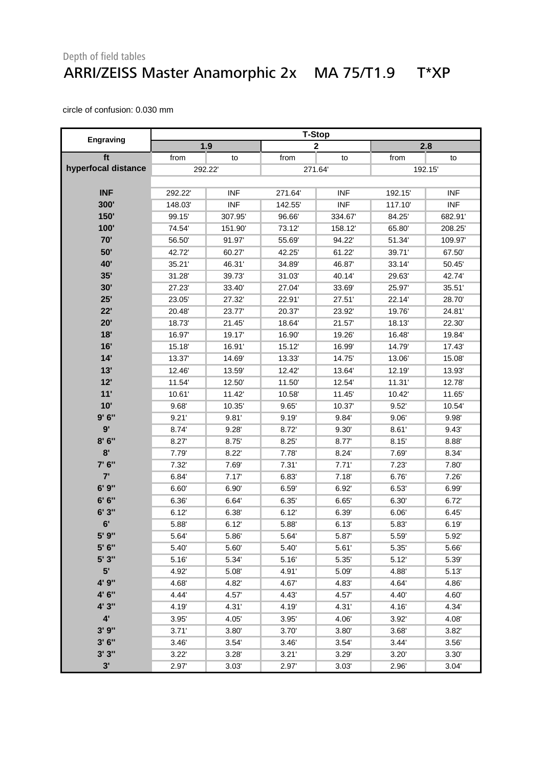#### Depth of field tables ARRI/ZEISS Master Anamorphic 2x MA 75/T1.9 T\*XP

|                     | <b>T-Stop</b> |            |        |             |         |            |
|---------------------|---------------|------------|--------|-------------|---------|------------|
| <b>Engraving</b>    |               | 1.9        |        | $\mathbf 2$ |         | 2.8        |
| ft                  | from          | to         | from   | to          | from    | to         |
| hyperfocal distance | 292.22        |            |        | 271.64      | 192.15' |            |
|                     |               |            |        |             |         |            |
| <b>INF</b>          | 292.22        | <b>INF</b> | 271.64 | <b>INF</b>  | 192.15  | <b>INF</b> |
| 300'                | 148.03        | <b>INF</b> | 142.55 | <b>INF</b>  | 117.10  | <b>INF</b> |
| 150'                | 99.15         | 307.95     | 96.66  | 334.67      | 84.25   | 682.91     |
| 100'                | 74.54         | 151.90     | 73.12  | 158.12      | 65.80   | 208.25     |
| 70'                 | 56.50         | 91.97      | 55.69  | 94.22'      | 51.34   | 109.97     |
| 50'                 | 42.72         | 60.27      | 42.25  | 61.22'      | 39.71'  | 67.50      |
| 40'                 | 35.21         | 46.31      | 34.89' | 46.87       | 33.14   | 50.45      |
| 35'                 | 31.28         | 39.73      | 31.03' | 40.14       | 29.63'  | 42.74      |
| 30'                 | 27.23         | 33.40      | 27.04  | 33.69       | 25.97   | 35.51      |
| 25'                 | 23.05         | 27.32      | 22.91' | 27.51'      | 22.14   | 28.70      |
| 22'                 | 20.48         | 23.77      | 20.37' | 23.92'      | 19.76   | 24.81'     |
| 20'                 | 18.73         | 21.45      | 18.64  | 21.57       | 18.13'  | 22.30      |
| 18'                 | 16.97         | 19.17      | 16.90  | 19.26'      | 16.48   | 19.84      |
| 16'                 | 15.18         | 16.91      | 15.12  | 16.99       | 14.79   | 17.43      |
| 14'                 | 13.37         | 14.69      | 13.33' | 14.75'      | 13.06   | 15.08      |
| 13'                 | 12.46         | 13.59'     | 12.42  | 13.64       | 12.19   | 13.93'     |
| 12'                 | 11.54         | 12.50      | 11.50  | 12.54       | 11.31'  | 12.78      |
| 11'                 | 10.61         | 11.42      | 10.58  | 11.45       | 10.42   | 11.65      |
| 10'                 | 9.68          | 10.35      | 9.65'  | 10.37       | 9.52'   | 10.54      |
| 9'6''               | 9.21'         | 9.81'      | 9.19'  | 9.84        | 9.06'   | 9.98'      |
| 9'                  | 8.74          | 9.28'      | 8.72   | 9.30'       | 8.61'   | 9.43'      |
| 8'6''               | 8.27          | 8.75'      | 8.25'  | 8.77        | 8.15'   | 8.88'      |
| 8'                  | 7.79          | 8.22'      | 7.78   | 8.24'       | 7.69    | 8.34       |
| 7' 6"               | 7.32'         | 7.69       | 7.31'  | 7.71'       | 7.23'   | 7.80       |
| 7'                  | 6.84          | 7.17'      | 6.83   | 7.18'       | 6.76    | 7.26'      |
| 6' 9"               | 6.60          | 6.90'      | 6.59   | 6.92'       | 6.53'   | 6.99       |
| 6' 6''              | 6.36'         | 6.64       | 6.35'  | 6.65'       | 6.30'   | 6.72'      |
| 6'3''               | 6.12'         | 6.38'      | 6.12'  | 6.39'       | 6.06'   | 6.45'      |
| 6'                  | 5.88          | 6.12'      | 5.88   | 6.13'       | 5.83    | 6.19'      |
| 5' 9"               | 5.64          | 5.86       | 5.64   | 5.87        | 5.59'   | 5.92       |
| 5' 6"               | 5.40'         | 5.60       | 5.40'  | 5.61'       | 5.35    | 5.66       |
| 5' 3"               | 5.16          | 5.34       | 5.16   | 5.35        | 5.12    | 5.39       |
| 5'                  | 4.92          | 5.08       | 4.91'  | 5.09        | 4.88    | 5.13       |
| 4' 9"               | 4.68          | 4.82       | 4.67   | 4.83        | 4.64    | 4.86       |
| 4' 6"               | 4.44          | 4.57       | 4.43   | 4.57        | 4.40    | 4.60       |
| 4' 3"               | 4.19          | 4.31'      | 4.19   | 4.31'       | 4.16    | 4.34'      |
| $4^{\prime}$        | 3.95'         | 4.05'      | 3.95'  | 4.06        | 3.92    | 4.08'      |
| 3'9''               | 3.71'         | 3.80       | 3.70'  | 3.80'       | 3.68'   | 3.82'      |
| 3'6''               | 3.46'         | 3.54'      | 3.46'  | 3.54'       | 3.44'   | 3.56       |
| 3'3''               | 3.22'         | 3.28'      | 3.21'  | 3.29'       | 3.20'   | 3.30'      |
| 3'                  | 2.97          | 3.03'      | 2.97   | 3.03'       | 2.96    | 3.04'      |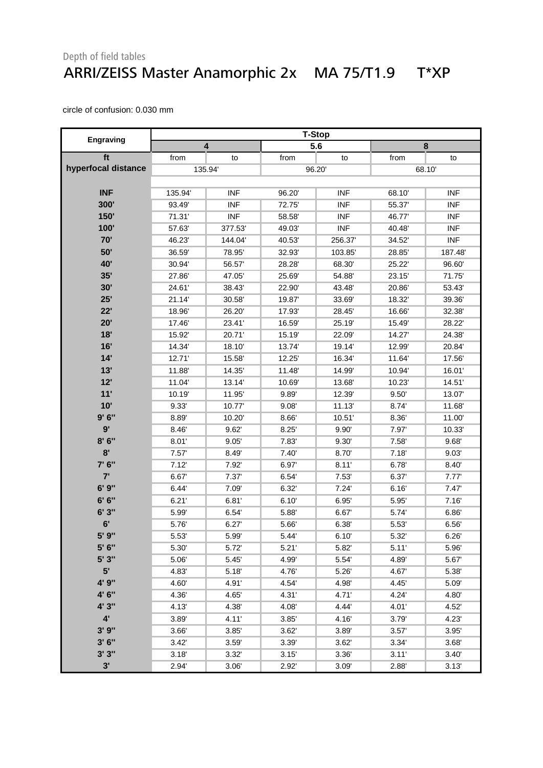#### Depth of field tables ARRI/ZEISS Master Anamorphic 2x MA 75/T1.9 T\*XP

|                     |        |                         |        | <b>T-Stop</b> |       |            |
|---------------------|--------|-------------------------|--------|---------------|-------|------------|
| <b>Engraving</b>    |        | $\overline{\mathbf{4}}$ |        | 5.6           |       | 8          |
| ft                  | from   | to                      | from   | to            | from  | to         |
| hyperfocal distance |        | 135.94                  |        | 96.20         | 68.10 |            |
|                     |        |                         |        |               |       |            |
| <b>INF</b>          | 135.94 | <b>INF</b>              | 96.20  | <b>INF</b>    | 68.10 | <b>INF</b> |
| 300'                | 93.49  | <b>INF</b>              | 72.75  | <b>INF</b>    | 55.37 | <b>INF</b> |
| 150'                | 71.31' | <b>INF</b>              | 58.58' | <b>INF</b>    | 46.77 | <b>INF</b> |
| 100'                | 57.63  | 377.53                  | 49.03' | <b>INF</b>    | 40.48 | <b>INF</b> |
| 70'                 | 46.23  | 144.04                  | 40.53' | 256.37        | 34.52 | <b>INF</b> |
| 50'                 | 36.59  | 78.95                   | 32.93' | 103.85        | 28.85 | 187.48     |
| 40'                 | 30.94  | 56.57                   | 28.28' | 68.30         | 25.22 | 96.60      |
| 35'                 | 27.86  | 47.05                   | 25.69  | 54.88'        | 23.15 | 71.75      |
| 30'                 | 24.61' | 38.43                   | 22.90  | 43.48'        | 20.86 | 53.43      |
| 25'                 | 21.14' | 30.58                   | 19.87  | 33.69'        | 18.32 | 39.36      |
| 22'                 | 18.96  | 26.20                   | 17.93  | 28.45'        | 16.66 | 32.38'     |
| 20'                 | 17.46  | 23.41'                  | 16.59  | 25.19         | 15.49 | 28.22      |
| 18'                 | 15.92  | 20.71                   | 15.19' | 22.09'        | 14.27 | 24.38      |
| 16'                 | 14.34  | 18.10                   | 13.74  | 19.14         | 12.99 | 20.84      |
| 14'                 | 12.71' | 15.58                   | 12.25' | 16.34         | 11.64 | 17.56      |
| 13'                 | 11.88  | 14.35                   | 11.48  | 14.99'        | 10.94 | 16.01      |
| 12'                 | 11.04  | 13.14                   | 10.69  | 13.68'        | 10.23 | 14.51      |
| 11'                 | 10.19  | 11.95                   | 9.89   | 12.39'        | 9.50' | 13.07      |
| 10'                 | 9.33'  | 10.77                   | 9.08'  | 11.13'        | 8.74  | 11.68      |
| 9'6''               | 8.89   | 10.20                   | 8.66'  | 10.51'        | 8.36' | 11.00      |
| 9'                  | 8.46   | 9.62'                   | 8.25'  | 9.90'         | 7.97  | 10.33'     |
| 8'6''               | 8.01'  | 9.05'                   | 7.83   | 9.30'         | 7.58' | 9.68'      |
| 8'                  | 7.57'  | 8.49                    | 7.40'  | 8.70          | 7.18' | 9.03'      |
| 7' 6"               | 7.12'  | 7.92                    | 6.97   | 8.11'         | 6.78' | 8.40'      |
| 7'                  | 6.67   | 7.37'                   | 6.54'  | 7.53'         | 6.37  | 7.77'      |
| 6'9''               | 6.44'  | 7.09                    | 6.32'  | 7.24'         | 6.16' | 7.47'      |
| 6' 6''              | 6.21'  | 6.81'                   | 6.10'  | 6.95'         | 5.95  | 7.16'      |
| 6'3"                | 5.99   | 6.54                    | 5.88   | 6.67          | 5.74  | 6.86'      |
| 6'                  | 5.76   | 6.27'                   | 5.66   | 6.38'         | 5.53' | 6.56'      |
| 5' 9"               | 5.53   | 5.99                    | 5.44'  | 6.10'         | 5.32  | 6.26'      |
| 5' 6"               | 5.30'  | 5.72'                   | 5.21'  | 5.82          | 5.11' | 5.96       |
| 5' 3"               | 5.06   | 5.45                    | 4.99   | 5.54          | 4.89  | 5.67       |
| 5 <sup>1</sup>      | 4.83   | 5.18                    | 4.76   | 5.26          | 4.67  | 5.38       |
| 4' 9"               | 4.60   | 4.91'                   | 4.54   | 4.98'         | 4.45  | 5.09       |
| 4' 6"               | 4.36   | 4.65                    | 4.31'  | 4.71'         | 4.24  | 4.80       |
| 4' 3"               | 4.13   | 4.38'                   | 4.08'  | 4.44          | 4.01' | 4.52'      |
| $4^{\circ}$         | 3.89   | 4.11'                   | 3.85'  | 4.16          | 3.79  | 4.23'      |
| 3'9''               | 3.66'  | 3.85'                   | 3.62'  | 3.89          | 3.57' | 3.95'      |
| 3'6''               | 3.42'  | 3.59                    | 3.39   | 3.62'         | 3.34' | 3.68'      |
| 3'3''               | 3.18'  | 3.32'                   | 3.15'  | 3.36          | 3.11' | 3.40'      |
| 3'                  | 2.94   | 3.06'                   | 2.92   | 3.09'         | 2.88  | 3.13'      |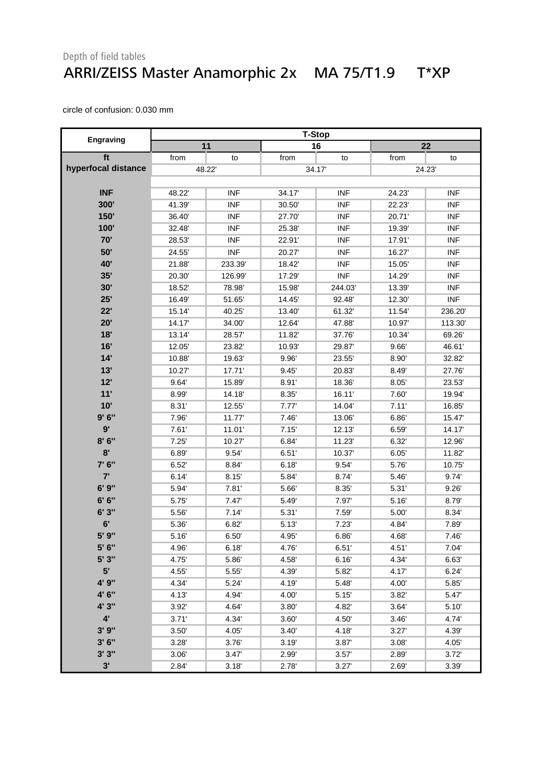#### Depth of field tables ARRI/ZEISS Master Anamorphic 2x MA 75/T1.9 T\*XP

|                     | <b>T-Stop</b> |            |        |            |        |            |  |
|---------------------|---------------|------------|--------|------------|--------|------------|--|
| <b>Engraving</b>    |               | 11         |        | 16         |        | 22         |  |
| ft                  | from          | to         | from   | to         | from   | to         |  |
| hyperfocal distance |               | 48.22'     |        | 34.17      | 24.23' |            |  |
|                     |               |            |        |            |        |            |  |
| <b>INF</b>          | 48.22         | <b>INF</b> | 34.17  | <b>INF</b> | 24.23  | <b>INF</b> |  |
| 300'                | 41.39         | <b>INF</b> | 30.50  | <b>INF</b> | 22.23' | <b>INF</b> |  |
| 150'                | 36.40         | <b>INF</b> | 27.70  | <b>INF</b> | 20.71' | <b>INF</b> |  |
| 100'                | 32.48         | <b>INF</b> | 25.38' | <b>INF</b> | 19.39' | <b>INF</b> |  |
| 70'                 | 28.53         | <b>INF</b> | 22.91' | <b>INF</b> | 17.91' | <b>INF</b> |  |
| 50'                 | 24.55         | <b>INF</b> | 20.27  | <b>INF</b> | 16.27  | <b>INF</b> |  |
| 40'                 | 21.88         | 233.39     | 18.42' | <b>INF</b> | 15.05  | <b>INF</b> |  |
| 35'                 | 20.30         | 126.99     | 17.29' | <b>INF</b> | 14.29  | <b>INF</b> |  |
| 30'                 | 18.52         | 78.98      | 15.98  | 244.03     | 13.39  | <b>INF</b> |  |
| 25'                 | 16.49         | 51.65      | 14.45  | 92.48      | 12.30  | <b>INF</b> |  |
| 22'                 | 15.14         | 40.25      | 13.40  | 61.32'     | 11.54  | 236.20     |  |
| 20'                 | 14.17         | 34.00      | 12.64  | 47.88'     | 10.97  | 113.30     |  |
| 18'                 | 13.14         | 28.57      | 11.82  | 37.76'     | 10.34  | 69.26      |  |
| 16'                 | 12.05         | 23.82      | 10.93' | 29.87      | 9.66'  | 46.61'     |  |
| 14'                 | 10.88         | 19.63      | 9.96'  | 23.55      | 8.90   | 32.82      |  |
| 13'                 | 10.27         | 17.71'     | 9.45'  | 20.83'     | 8.49   | 27.76      |  |
| 12'                 | 9.64          | 15.89      | 8.91'  | 18.36'     | 8.05'  | 23.53'     |  |
| 11'                 | 8.99'         | 14.18      | 8.35'  | 16.11'     | 7.60   | 19.94      |  |
| 10'                 | 8.31'         | 12.55      | 7.77'  | 14.04'     | 7.11'  | 16.85      |  |
| 9'6''               | 7.96          | 11.77      | 7.46'  | 13.06'     | 6.86   | 15.47      |  |
| 9'                  | 7.61'         | 11.01'     | 7.15'  | 12.13'     | 6.59   | 14.17      |  |
| 8'6''               | 7.25'         | 10.27      | 6.84'  | 11.23      | 6.32   | 12.96      |  |
| 8'                  | 6.89          | 9.54       | 6.51'  | 10.37      | 6.05'  | 11.82      |  |
| 7' 6"               | 6.52'         | 8.84       | 6.18'  | 9.54'      | 5.76   | 10.75      |  |
| 7'                  | 6.14'         | 8.15'      | 5.84   | 8.74       | 5.46   | 9.74'      |  |
| 6' 9"               | 5.94          | 7.81'      | 5.66   | 8.35'      | 5.31'  | 9.26'      |  |
| 6' 6''              | 5.75'         | 7.47'      | 5.49   | 7.97       | 5.16'  | 8.79       |  |
| 6'3''               | 5.56          | 7.14'      | 5.31'  | 7.59'      | 5.00   | 8.34       |  |
| 6'                  | 5.36          | 6.82'      | 5.13'  | 7.23'      | 4.84   | 7.89       |  |
| 5' 9"               | 5.16'         | 6.50'      | 4.95   | 6.86'      | 4.68'  | 7.46'      |  |
| 5' 6"               | 4.96'         | 6.18'      | 4.76'  | 6.51'      | 4.51'  | 7.04'      |  |
| 5' 3"               | 4.75          | 5.86       | 4.58'  | 6.16'      | 4.34   | 6.63       |  |
| 5'                  | 4.55'         | 5.55       | 4.39   | 5.82       | 4.17   | 6.24'      |  |
| 4' 9"               | 4.34          | 5.24       | 4.19   | 5.48       | 4.00   | 5.85       |  |
| 4' 6"               | 4.13          | 4.94       | 4.00'  | 5.15'      | 3.82'  | 5.47       |  |
| 4' 3"               | 3.92'         | 4.64'      | 3.80   | 4.82       | 3.64'  | 5.10'      |  |
| $4^{\prime}$        | 3.71'         | 4.34       | 3.60'  | 4.50       | 3.46'  | 4.74       |  |
| 3' 9"               | 3.50'         | 4.05'      | 3.40'  | 4.18       | 3.27'  | 4.39'      |  |
| 3'6''               | 3.28'         | 3.76       | 3.19'  | 3.87       | 3.08'  | 4.05       |  |
| 3'3''               | 3.06'         | 3.47'      | 2.99   | 3.57'      | 2.89   | 3.72'      |  |
| 3'                  | 2.84          | 3.18'      | 2.78'  | 3.27'      | 2.69   | 3.39'      |  |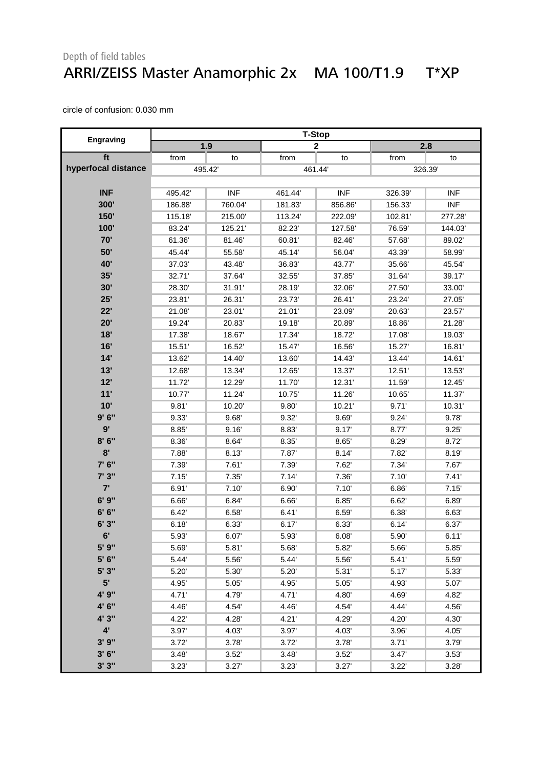#### Depth of field tables ARRI/ZEISS Master Anamorphic 2x MA 100/T1.9 T\*XP

|                     | <b>T-Stop</b> |            |        |              |        |            |  |
|---------------------|---------------|------------|--------|--------------|--------|------------|--|
| <b>Engraving</b>    |               | 1.9        |        | $\mathbf{2}$ |        | 2.8        |  |
| ft                  | from          | to         | from   | to           | from   | to         |  |
| hyperfocal distance |               | 495.42     |        | 461.44       | 326.39 |            |  |
|                     |               |            |        |              |        |            |  |
| <b>INF</b>          | 495.42        | <b>INF</b> | 461.44 | <b>INF</b>   | 326.39 | <b>INF</b> |  |
| 300'                | 186.88        | 760.04     | 181.83 | 856.86       | 156.33 | <b>INF</b> |  |
| 150'                | 115.18'       | 215.00     | 113.24 | 222.09'      | 102.81 | 277.28     |  |
| 100'                | 83.24         | 125.21     | 82.23' | 127.58'      | 76.59  | 144.03     |  |
| 70'                 | 61.36         | 81.46      | 60.81' | 82.46'       | 57.68  | 89.02      |  |
| 50'                 | 45.44         | 55.58      | 45.14  | 56.04        | 43.39' | 58.99      |  |
| <b>40'</b>          | 37.03         | 43.48      | 36.83  | 43.77'       | 35.66  | 45.54      |  |
| 35'                 | 32.71'        | 37.64      | 32.55  | 37.85        | 31.64  | 39.17      |  |
| 30'                 | 28.30         | 31.91'     | 28.19  | 32.06'       | 27.50  | 33.00      |  |
| 25'                 | 23.81'        | 26.31'     | 23.73' | 26.41'       | 23.24  | 27.05      |  |
| 22'                 | 21.08         | 23.01'     | 21.01' | 23.09'       | 20.63  | 23.57      |  |
| 20'                 | 19.24         | 20.83'     | 19.18  | 20.89'       | 18.86  | 21.28      |  |
| 18'                 | 17.38         | 18.67      | 17.34  | 18.72'       | 17.08  | 19.03'     |  |
| 16'                 | 15.51         | 16.52      | 15.47  | 16.56'       | 15.27  | 16.81      |  |
| 14'                 | 13.62         | 14.40      | 13.60  | 14.43'       | 13.44  | 14.61      |  |
| 13'                 | 12.68         | 13.34      | 12.65  | 13.37        | 12.51' | 13.53      |  |
| 12'                 | 11.72         | 12.29'     | 11.70  | 12.31'       | 11.59  | 12.45      |  |
| 11'                 | 10.77         | 11.24      | 10.75  | 11.26'       | 10.65  | 11.37      |  |
| 10'                 | 9.81'         | 10.20      | 9.80'  | 10.21'       | 9.71'  | 10.31      |  |
| 9'6''               | 9.33          | 9.68'      | 9.32'  | 9.69'        | 9.24'  | 9.78'      |  |
| 9'                  | 8.85'         | 9.16'      | 8.83   | 9.17'        | 8.77   | 9.25'      |  |
| 8'6''               | 8.36          | 8.64       | 8.35'  | 8.65'        | 8.29   | 8.72       |  |
| 8'                  | 7.88          | 8.13       | 7.87   | 8.14'        | 7.82   | 8.19       |  |
| 7' 6"               | 7.39          | 7.61'      | 7.39   | 7.62'        | 7.34'  | 7.67       |  |
| 7' 3"               | 7.15'         | 7.35'      | 7.14'  | 7.36'        | 7.10'  | 7.41'      |  |
| 7'                  | 6.91'         | 7.10'      | 6.90'  | 7.10'        | 6.86   | 7.15'      |  |
| 6'9''               | 6.66          | 6.84       | 6.66'  | 6.85'        | 6.62'  | 6.89'      |  |
| 6' 6''              | 6.42'         | 6.58'      | 6.41'  | 6.59'        | 6.38'  | 6.63'      |  |
| 6'3"                | 6.18'         | 6.33'      | 6.17   | 6.33'        | 6.14'  | 6.37       |  |
| 6'                  | 5.93          | 6.07'      | 5.93   | 6.08'        | 5.90'  | 6.11'      |  |
| 5' 9"               | 5.69          | 5.81'      | 5.68   | 5.82         | 5.66   | 5.85       |  |
| 5' 6"               | 5.44          | 5.56       | 5.44   | 5.56         | 5.41'  | 5.59       |  |
| 5' 3"               | 5.20          | 5.30       | 5.20   | 5.31'        | 5.17'  | 5.33       |  |
| 5 <sup>1</sup>      | 4.95          | 5.05       | 4.95   | 5.05'        | 4.93'  | 5.07       |  |
| 4' 9"               | 4.71'         | 4.79       | 4.71'  | 4.80         | 4.69   | 4.82       |  |
| 4' 6"               | 4.46          | 4.54       | 4.46   | 4.54         | 4.44   | 4.56       |  |
| 4' 3"               | 4.22          | 4.28       | 4.21'  | 4.29         | 4.20   | 4.30       |  |
| $4^{\prime}$        | 3.97'         | 4.03'      | 3.97   | 4.03         | 3.96'  | 4.05       |  |
| 3'9''               | 3.72'         | 3.78       | 3.72'  | 3.78         | 3.71'  | 3.79       |  |
| 3'6''               | 3.48'         | 3.52'      | 3.48'  | 3.52'        | 3.47'  | 3.53'      |  |
| 3'3''               | 3.23'         | 3.27'      | 3.23'  | 3.27'        | 3.22'  | 3.28'      |  |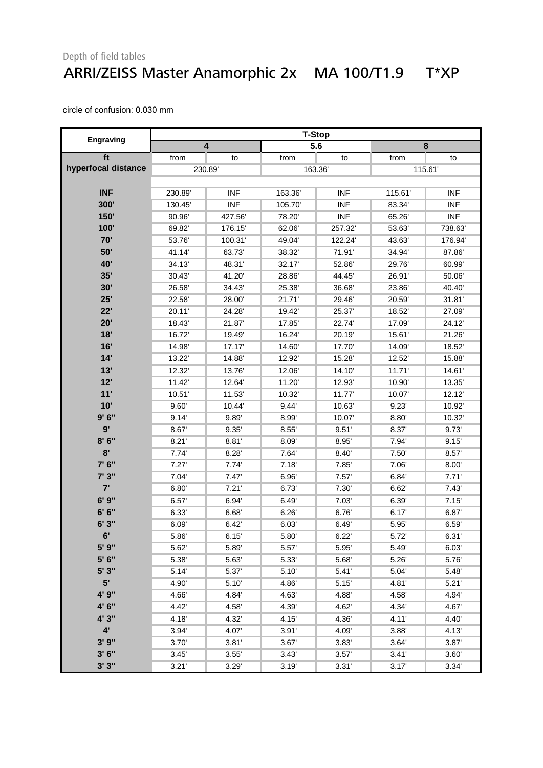#### Depth of field tables ARRI/ZEISS Master Anamorphic 2x MA 100/T1.9 T\*XP

|                     |         | <b>T-Stop</b> |        |            |        |            |  |  |  |
|---------------------|---------|---------------|--------|------------|--------|------------|--|--|--|
| Engraving           | 4       |               |        | 5.6        |        | 8          |  |  |  |
| ft                  | from    | to            | from   | to         | from   | to         |  |  |  |
| hyperfocal distance | 230.89  |               |        | 163.36     |        | 115.61     |  |  |  |
|                     |         |               |        |            |        |            |  |  |  |
| <b>INF</b>          | 230.89  | <b>INF</b>    | 163.36 | <b>INF</b> | 115.61 | <b>INF</b> |  |  |  |
| 300'                | 130.45' | <b>INF</b>    | 105.70 | <b>INF</b> | 83.34  | <b>INF</b> |  |  |  |
| 150'                | 90.96   | 427.56'       | 78.20  | <b>INF</b> | 65.26  | <b>INF</b> |  |  |  |
| 100'                | 69.82   | 176.15'       | 62.06  | 257.32     | 53.63  | 738.63     |  |  |  |
| 70'                 | 53.76   | 100.31        | 49.04  | 122.24     | 43.63  | 176.94     |  |  |  |
| 50'                 | 41.14   | 63.73         | 38.32  | 71.91'     | 34.94  | 87.86      |  |  |  |
| 40'                 | 34.13   | 48.31'        | 32.17  | 52.86      | 29.76  | 60.99      |  |  |  |
| 35'                 | 30.43   | 41.20         | 28.86  | 44.45      | 26.91' | 50.06      |  |  |  |
| 30'                 | 26.58   | 34.43         | 25.38' | 36.68      | 23.86  | 40.40      |  |  |  |
| 25'                 | 22.58   | 28.00         | 21.71' | 29.46'     | 20.59  | 31.81'     |  |  |  |
| 22'                 | 20.11'  | 24.28         | 19.42  | 25.37      | 18.52  | 27.09      |  |  |  |
| 20'                 | 18.43   | 21.87         | 17.85  | 22.74      | 17.09  | 24.12      |  |  |  |
| 18'                 | 16.72   | 19.49         | 16.24  | 20.19'     | 15.61  | 21.26      |  |  |  |
| 16'                 | 14.98'  | 17.17         | 14.60  | 17.70      | 14.09' | 18.52      |  |  |  |
| 14'                 | 13.22   | 14.88         | 12.92  | 15.28      | 12.52  | 15.88      |  |  |  |
| 13'                 | 12.32   | 13.76         | 12.06' | 14.10'     | 11.71' | 14.61'     |  |  |  |
| 12'                 | 11.42   | 12.64         | 11.20  | 12.93'     | 10.90  | 13.35      |  |  |  |
| 11'                 | 10.51'  | 11.53         | 10.32  | 11.77      | 10.07  | 12.12      |  |  |  |
| 10'                 | 9.60'   | 10.44         | 9.44'  | 10.63'     | 9.23'  | 10.92      |  |  |  |
| 9'6''               | 9.14'   | 9.89          | 8.99'  | 10.07      | 8.80   | 10.32      |  |  |  |
| 9'                  | 8.67    | 9.35'         | 8.55   | 9.51'      | 8.37   | 9.73'      |  |  |  |
| 8'6''               | 8.21'   | 8.81'         | 8.09   | 8.95       | 7.94   | 9.15'      |  |  |  |
| 8'                  | 7.74'   | 8.28          | 7.64   | 8.40'      | 7.50'  | 8.57       |  |  |  |
| 7' 6"               | 7.27'   | 7.74          | 7.18'  | 7.85'      | 7.06   | 8.00'      |  |  |  |
| 7' 3"               | 7.04    | 7.47          | 6.96'  | 7.57'      | 6.84'  | 7.71'      |  |  |  |
| 7'                  | 6.80'   | 7.21'         | 6.73   | 7.30       | 6.62   | 7.43'      |  |  |  |
| 6' 9"               | 6.57    | 6.94          | 6.49   | 7.03'      | 6.39'  | 7.15'      |  |  |  |
| 6' 6''              | 6.33    | 6.68'         | 6.26'  | 6.76'      | 6.17'  | 6.87       |  |  |  |
| 6'3"                | 6.09'   | 6.42'         | 6.03'  | 6.49'      | 5.95   | 6.59'      |  |  |  |
| $6^{\circ}$         | 5.86    | 6.15'         | 5.80   | 6.22'      | 5.72'  | 6.31'      |  |  |  |
| 5' 9"               | 5.62    | 5.89          | 5.57   | 5.95       | 5.49   | 6.03'      |  |  |  |
| 5' 6"               | 5.38    | 5.63          | 5.33   | 5.68       | 5.26   | 5.76       |  |  |  |
| 5' 3"               | 5.14'   | 5.37          | 5.10'  | 5.41'      | 5.04   | 5.48       |  |  |  |
| 5'                  | 4.90    | 5.10'         | 4.86   | 5.15'      | 4.81'  | 5.21'      |  |  |  |
| 4' 9"               | 4.66    | 4.84          | 4.63   | 4.88       | 4.58   | 4.94'      |  |  |  |
| 4' 6"               | 4.42    | 4.58'         | 4.39   | 4.62       | 4.34   | 4.67       |  |  |  |
| 4' 3"               | 4.18    | 4.32'         | 4.15   | 4.36       | 4.11'  | 4.40       |  |  |  |
| $4^{\circ}$         | 3.94'   | 4.07          | 3.91'  | 4.09       | 3.88   | 4.13       |  |  |  |
| 3'9''               | 3.70'   | 3.81'         | 3.67   | 3.83'      | 3.64'  | 3.87       |  |  |  |
| 3'6''               | 3.45'   | 3.55'         | 3.43'  | 3.57'      | 3.41'  | 3.60'      |  |  |  |
| 3'3''               | 3.21'   | 3.29'         | 3.19'  | 3.31'      | 3.17'  | 3.34'      |  |  |  |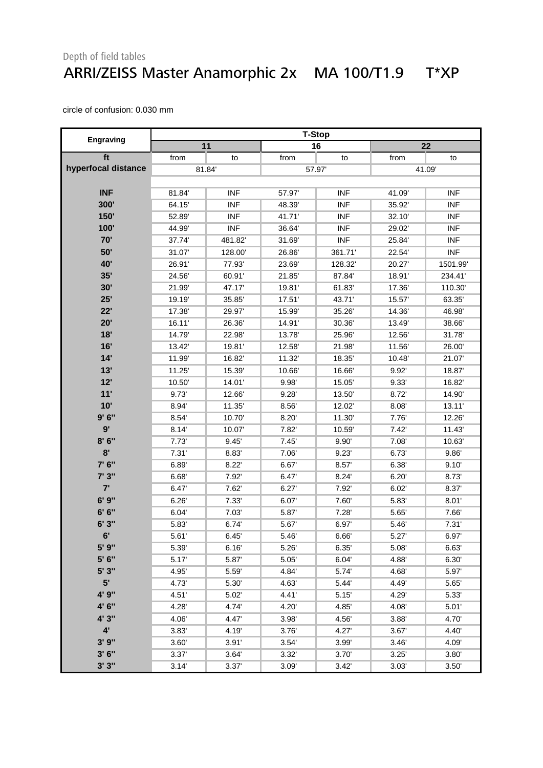#### Depth of field tables ARRI/ZEISS Master Anamorphic 2x MA 100/T1.9 T\*XP

|                     | <b>T-Stop</b> |            |        |            |        |            |  |
|---------------------|---------------|------------|--------|------------|--------|------------|--|
| <b>Engraving</b>    |               | 11         |        | 16         |        | 22         |  |
| ft                  | from          | to         | from   | to         | from   | to         |  |
| hyperfocal distance |               | 81.84      |        | 57.97      | 41.09  |            |  |
|                     |               |            |        |            |        |            |  |
| <b>INF</b>          | 81.84         | <b>INF</b> | 57.97  | <b>INF</b> | 41.09' | <b>INF</b> |  |
| 300'                | 64.15         | <b>INF</b> | 48.39' | <b>INF</b> | 35.92  | <b>INF</b> |  |
| 150'                | 52.89         | <b>INF</b> | 41.71' | <b>INF</b> | 32.10  | <b>INF</b> |  |
| 100'                | 44.99         | <b>INF</b> | 36.64  | <b>INF</b> | 29.02  | <b>INF</b> |  |
| 70'                 | 37.74         | 481.82     | 31.69' | <b>INF</b> | 25.84  | <b>INF</b> |  |
| 50'                 | 31.07         | 128.00     | 26.86  | 361.71'    | 22.54  | <b>INF</b> |  |
| <b>40'</b>          | 26.91'        | 77.93      | 23.69' | 128.32'    | 20.27  | 1501.99'   |  |
| 35'                 | 24.56         | 60.91'     | 21.85  | 87.84      | 18.91' | 234.41'    |  |
| 30'                 | 21.99         | 47.17      | 19.81  | 61.83      | 17.36  | 110.30     |  |
| 25'                 | 19.19         | 35.85      | 17.51  | 43.71'     | 15.57  | 63.35      |  |
| 22'                 | 17.38         | 29.97      | 15.99  | 35.26'     | 14.36  | 46.98'     |  |
| 20'                 | 16.11'        | 26.36'     | 14.91' | 30.36'     | 13.49  | 38.66      |  |
| 18'                 | 14.79         | 22.98      | 13.78' | 25.96'     | 12.56  | 31.78      |  |
| 16'                 | 13.42         | 19.81      | 12.58' | 21.98'     | 11.56  | 26.00      |  |
| 14'                 | 11.99         | 16.82      | 11.32  | 18.35'     | 10.48  | 21.07      |  |
| 13'                 | 11.25         | 15.39      | 10.66' | 16.66'     | 9.92   | 18.87      |  |
| 12'                 | 10.50         | 14.01'     | 9.98'  | 15.05'     | 9.33'  | 16.82      |  |
| 11'                 | 9.73          | 12.66      | 9.28'  | 13.50      | 8.72   | 14.90      |  |
| 10'                 | 8.94          | 11.35      | 8.56'  | 12.02'     | 8.08'  | 13.11'     |  |
| 9'6''               | 8.54          | 10.70      | 8.20'  | 11.30      | 7.76   | 12.26      |  |
| 9'                  | 8.14'         | 10.07      | 7.82   | 10.59'     | 7.42'  | 11.43      |  |
| 8'6''               | 7.73'         | 9.45'      | 7.45'  | 9.90'      | 7.08   | 10.63      |  |
| 8'                  | 7.31'         | 8.83       | 7.06   | 9.23'      | 6.73'  | 9.86'      |  |
| 7' 6"               | 6.89          | 8.22'      | 6.67   | 8.57       | 6.38'  | 9.10'      |  |
| 7' 3"               | 6.68          | 7.92       | 6.47   | 8.24'      | 6.20'  | 8.73       |  |
| 7'                  | 6.47          | 7.62'      | 6.27'  | 7.92       | 6.02'  | 8.37       |  |
| 6'9''               | 6.26'         | 7.33'      | 6.07'  | 7.60'      | 5.83   | 8.01'      |  |
| 6' 6''              | 6.04'         | 7.03'      | 5.87   | 7.28'      | 5.65   | 7.66'      |  |
| 6'3''               | 5.83          | 6.74'      | 5.67   | 6.97       | 5.46'  | 7.31'      |  |
| 6'                  | 5.61'         | 6.45'      | 5.46   | 6.66       | 5.27'  | 6.97       |  |
| 5' 9"               | 5.39          | 6.16'      | 5.26   | 6.35'      | 5.08   | 6.63       |  |
| 5' 6"               | 5.17          | 5.87       | 5.05   | 6.04'      | 4.88   | 6.30'      |  |
| 5' 3"               | 4.95          | 5.59       | 4.84   | 5.74       | 4.68   | 5.97       |  |
| 5 <sup>1</sup>      | 4.73          | 5.30       | 4.63   | 5.44       | 4.49   | 5.65       |  |
| 4' 9"               | 4.51'         | 5.02       | 4.41'  | 5.15'      | 4.29'  | 5.33'      |  |
| 4' 6"               | 4.28'         | 4.74       | 4.20   | 4.85       | 4.08   | 5.01'      |  |
| 4' 3"               | 4.06'         | 4.47       | 3.98   | 4.56       | 3.88   | 4.70       |  |
| $4^{\prime}$        | 3.83'         | 4.19'      | 3.76   | 4.27       | 3.67'  | 4.40       |  |
| 3'9''               | 3.60'         | 3.91'      | 3.54'  | 3.99       | 3.46'  | 4.09       |  |
| 3'6''               | 3.37'         | 3.64       | 3.32'  | 3.70       | 3.25'  | 3.80       |  |
| 3'3''               | 3.14'         | 3.37'      | 3.09'  | 3.42'      | 3.03'  | 3.50'      |  |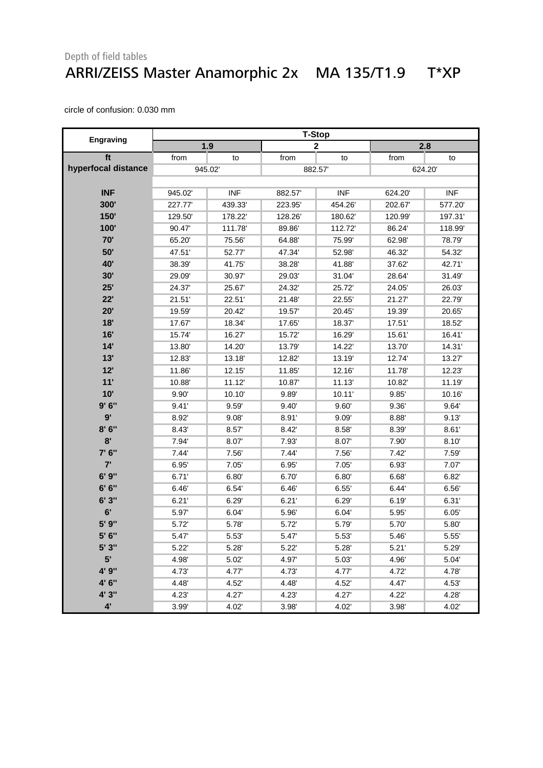#### Depth of field tables ARRI/ZEISS Master Anamorphic 2x MA 135/T1.9 T\*XP

|                     | <b>T-Stop</b> |            |        |              |        |            |  |
|---------------------|---------------|------------|--------|--------------|--------|------------|--|
| Engraving           | 1.9           |            |        | $\mathbf{2}$ |        | 2.8        |  |
| ft                  | from          | to         | from   | to           | from   | to         |  |
| hyperfocal distance | 945.02        |            |        | 882.57       | 624.20 |            |  |
|                     |               |            |        |              |        |            |  |
| <b>INF</b>          | 945.02        | <b>INF</b> | 882.57 | <b>INF</b>   | 624.20 | <b>INF</b> |  |
| 300'                | 227.77        | 439.33     | 223.95 | 454.26       | 202.67 | 577.20     |  |
| 150'                | 129.50        | 178.22     | 128.26 | 180.62       | 120.99 | 197.31'    |  |
| 100'                | 90.47         | 111.78     | 89.86' | 112.72       | 86.24  | 118.99'    |  |
| 70'                 | 65.20         | 75.56      | 64.88' | 75.99        | 62.98  | 78.79'     |  |
| 50'                 | 47.51         | 52.77      | 47.34' | 52.98        | 46.32  | 54.32'     |  |
| 40'                 | 38.39'        | 41.75      | 38.28' | 41.88'       | 37.62  | 42.71'     |  |
| 30'                 | 29.09         | 30.97      | 29.03' | 31.04'       | 28.64  | 31.49      |  |
| 25'                 | 24.37         | 25.67      | 24.32' | 25.72        | 24.05  | 26.03      |  |
| 22'                 | 21.51'        | 22.51'     | 21.48' | 22.55'       | 21.27  | 22.79'     |  |
| 20'                 | 19.59         | 20.42      | 19.57  | 20.45'       | 19.39' | 20.65      |  |
| 18'                 | 17.67         | 18.34      | 17.65  | 18.37        | 17.51  | 18.52      |  |
| 16'                 | 15.74         | 16.27      | 15.72  | 16.29        | 15.61  | 16.41'     |  |
| 14'                 | 13.80         | 14.20      | 13.79' | 14.22        | 13.70  | 14.31'     |  |
| 13'                 | 12.83         | 13.18      | 12.82  | 13.19        | 12.74  | 13.27      |  |
| 12'                 | 11.86         | 12.15'     | 11.85  | 12.16        | 11.78  | 12.23'     |  |
| 11'                 | 10.88         | 11.12      | 10.87  | 11.13'       | 10.82  | 11.19      |  |
| 10'                 | 9.90'         | 10.10      | 9.89   | 10.11'       | 9.85   | 10.16      |  |
| 9'6''               | 9.41'         | 9.59'      | 9.40'  | 9.60'        | 9.36'  | 9.64'      |  |
| 9'                  | 8.92'         | 9.08'      | 8.91'  | 9.09'        | 8.88   | 9.13'      |  |
| 8'6''               | 8.43          | 8.57       | 8.42   | 8.58'        | 8.39   | 8.61'      |  |
| 8'                  | 7.94          | 8.07       | 7.93   | 8.07         | 7.90   | 8.10'      |  |
| 7' 6"               | 7.44'         | 7.56       | 7.44'  | 7.56         | 7.42'  | 7.59       |  |
| 7'                  | 6.95'         | 7.05'      | 6.95'  | 7.05'        | 6.93   | 7.07       |  |
| 6' 9"               | 6.71'         | 6.80'      | 6.70'  | 6.80'        | 6.68   | 6.82       |  |
| 6' 6''              | 6.46'         | 6.54       | 6.46'  | 6.55'        | 6.44'  | 6.56'      |  |
| 6'3''               | 6.21'         | 6.29'      | 6.21'  | 6.29'        | 6.19'  | 6.31'      |  |
| 6'                  | 5.97'         | 6.04'      | 5.96   | 6.04'        | 5.95'  | 6.05'      |  |
| 5' 9"               | 5.72          | 5.78       | 5.72   | 5.79         | 5.70   | 5.80'      |  |
| 5' 6"               | 5.47'         | 5.53'      | 5.47'  | 5.53         | 5.46'  | 5.55'      |  |
| 5'3"                | 5.22'         | 5.28       | 5.22'  | 5.28'        | 5.21'  | 5.29       |  |
| 5'                  | 4.98'         | 5.02'      | 4.97   | 5.03'        | 4.96'  | 5.04'      |  |
| 4' 9"               | 4.73'         | 4.77       | 4.73'  | 4.77         | 4.72'  | 4.78'      |  |
| 4' 6"               | 4.48          | 4.52'      | 4.48   | 4.52'        | 4.47   | 4.53'      |  |
| 4' 3"               | 4.23'         | 4.27'      | 4.23'  | 4.27'        | 4.22'  | 4.28'      |  |
| $4^{\prime}$        | 3.99'         | 4.02'      | 3.98'  | 4.02'        | 3.98'  | 4.02'      |  |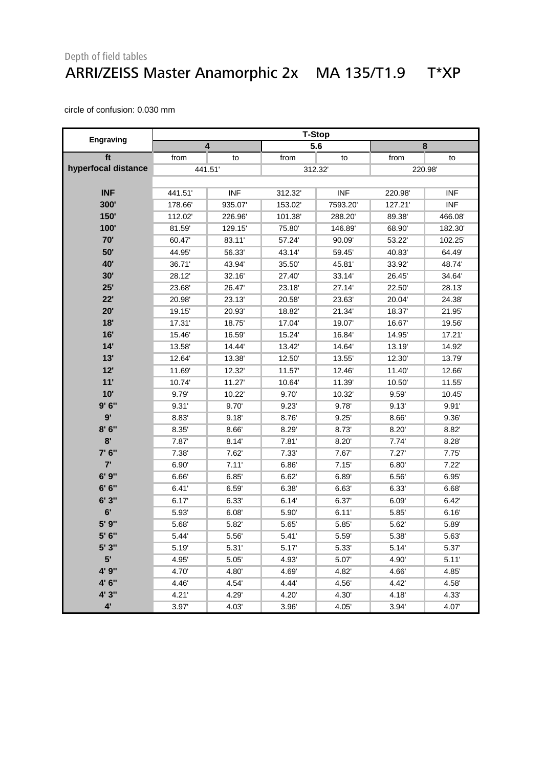#### Depth of field tables ARRI/ZEISS Master Anamorphic 2x MA 135/T1.9 T\*XP

|                     |                         |            |        | <b>T-Stop</b> |         |            |
|---------------------|-------------------------|------------|--------|---------------|---------|------------|
| Engraving           | $\overline{\mathbf{4}}$ |            |        | 5.6           |         | 8          |
| ft                  | from                    | to         | from   | to            | from    | to         |
| hyperfocal distance | 441.51                  |            |        | 312.32        | 220.98  |            |
|                     |                         |            |        |               |         |            |
| <b>INF</b>          | 441.51'                 | <b>INF</b> | 312.32 | <b>INF</b>    | 220.98  | <b>INF</b> |
| 300'                | 178.66'                 | 935.07     | 153.02 | 7593.20       | 127.21' | <b>INF</b> |
| 150'                | 112.02                  | 226.96     | 101.38 | 288.20        | 89.38   | 466.08'    |
| 100'                | 81.59                   | 129.15'    | 75.80  | 146.89        | 68.90   | 182.30'    |
| 70'                 | 60.47                   | 83.11'     | 57.24  | 90.09         | 53.22   | 102.25     |
| 50'                 | 44.95                   | 56.33      | 43.14  | 59.45         | 40.83   | 64.49      |
| 40'                 | 36.71'                  | 43.94      | 35.50  | 45.81'        | 33.92   | 48.74      |
| 30'                 | 28.12                   | 32.16      | 27.40  | 33.14         | 26.45   | 34.64      |
| 25'                 | 23.68                   | 26.47      | 23.18' | 27.14         | 22.50   | 28.13      |
| 22'                 | 20.98'                  | 23.13'     | 20.58' | 23.63'        | 20.04   | 24.38'     |
| 20'                 | 19.15                   | 20.93      | 18.82' | 21.34         | 18.37   | 21.95      |
| 18'                 | 17.31'                  | 18.75      | 17.04  | 19.07         | 16.67   | 19.56      |
| 16'                 | 15.46                   | 16.59      | 15.24  | 16.84         | 14.95   | 17.21'     |
| 14'                 | 13.58                   | 14.44      | 13.42' | 14.64         | 13.19   | 14.92      |
| 13'                 | 12.64                   | 13.38      | 12.50  | 13.55         | 12.30   | 13.79'     |
| 12'                 | 11.69                   | 12.32      | 11.57  | 12.46'        | 11.40   | 12.66      |
| 11'                 | 10.74                   | 11.27      | 10.64  | 11.39'        | 10.50   | 11.55      |
| 10'                 | 9.79                    | 10.22      | 9.70'  | 10.32         | 9.59'   | 10.45      |
| 9'6''               | 9.31'                   | 9.70       | 9.23'  | 9.78'         | 9.13'   | 9.91'      |
| 9'                  | 8.83                    | 9.18'      | 8.76   | 9.25'         | 8.66    | 9.36'      |
| 8'6''               | 8.35                    | 8.66       | 8.29   | 8.73          | 8.20'   | 8.82       |
| 8'                  | 7.87                    | 8.14'      | 7.81'  | 8.20'         | 7.74    | 8.28       |
| 7' 6"               | 7.38                    | 7.62       | 7.33   | 7.67          | 7.27'   | 7.75'      |
| 7'                  | 6.90'                   | 7.11'      | 6.86   | 7.15'         | 6.80'   | 7.22'      |
| 6'9''               | 6.66                    | 6.85'      | 6.62'  | 6.89'         | 6.56    | 6.95       |
| 6' 6''              | 6.41'                   | 6.59       | 6.38'  | 6.63'         | 6.33    | 6.68'      |
| 6'3''               | 6.17'                   | 6.33       | 6.14'  | 6.37'         | 6.09'   | 6.42'      |
| 6'                  | 5.93                    | 6.08'      | 5.90'  | 6.11'         | 5.85'   | 6.16'      |
| 5' 9"               | 5.68                    | 5.82       | 5.65   | 5.85'         | 5.62    | 5.89       |
| 5'6''               | 5.44'                   | 5.56       | 5.41'  | 5.59          | 5.38'   | 5.63       |
| 5' 3"               | 5.19                    | 5.31'      | 5.17   | 5.33'         | 5.14'   | 5.37       |
| 5'                  | 4.95'                   | 5.05'      | 4.93'  | 5.07          | 4.90'   | 5.11'      |
| 4' 9"               | 4.70'                   | 4.80'      | 4.69   | 4.82          | 4.66'   | 4.85'      |
| 4' 6"               | 4.46                    | 4.54       | 4.44   | 4.56'         | 4.42    | 4.58'      |
| 4' 3"               | 4.21'                   | 4.29'      | 4.20'  | 4.30'         | 4.18    | 4.33'      |
| $4^{\prime}$        | 3.97'                   | 4.03'      | 3.96'  | 4.05'         | 3.94'   | 4.07       |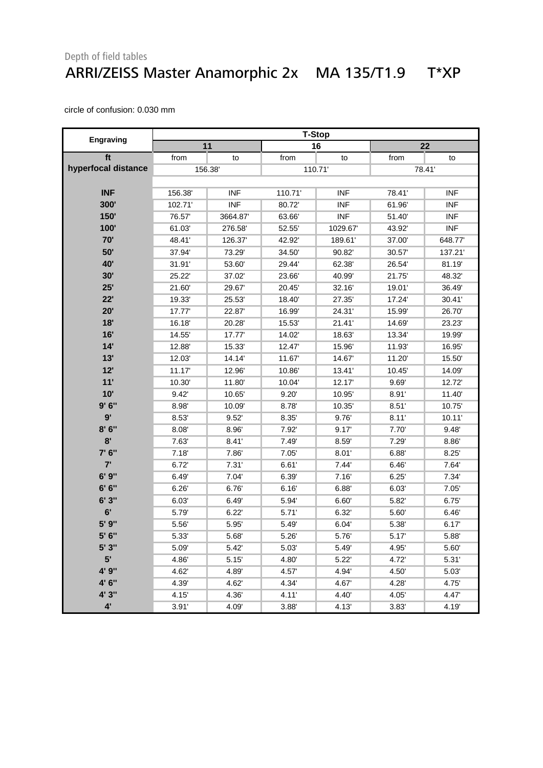#### Depth of field tables ARRI/ZEISS Master Anamorphic 2x MA 135/T1.9 T\*XP

|                     | <b>T-Stop</b> |                  |        |            |        |            |  |
|---------------------|---------------|------------------|--------|------------|--------|------------|--|
| Engraving           |               | 11               |        | 16         |        | 22         |  |
| ft                  | from          | to               | from   | to         | from   | to         |  |
| hyperfocal distance |               | 110.71<br>156.38 |        | 78.41'     |        |            |  |
|                     |               |                  |        |            |        |            |  |
| <b>INF</b>          | 156.38        | <b>INF</b>       | 110.71 | <b>INF</b> | 78.41' | <b>INF</b> |  |
| 300'                | 102.71        | <b>INF</b>       | 80.72  | <b>INF</b> | 61.96  | <b>INF</b> |  |
| 150'                | 76.57         | 3664.87          | 63.66' | <b>INF</b> | 51.40  | <b>INF</b> |  |
| 100'                | 61.03'        | 276.58           | 52.55  | 1029.67    | 43.92  | <b>INF</b> |  |
| 70'                 | 48.41'        | 126.37           | 42.92' | 189.61     | 37.00  | 648.77     |  |
| 50'                 | 37.94         | 73.29'           | 34.50' | 90.82      | 30.57  | 137.21     |  |
| 40'                 | 31.91'        | 53.60            | 29.44' | 62.38'     | 26.54  | 81.19      |  |
| 30'                 | 25.22'        | 37.02            | 23.66' | 40.99'     | 21.75  | 48.32'     |  |
| 25'                 | 21.60         | 29.67            | 20.45  | 32.16      | 19.01' | 36.49      |  |
| 22'                 | 19.33'        | 25.53            | 18.40  | 27.35'     | 17.24  | 30.41'     |  |
| 20'                 | 17.77         | 22.87            | 16.99  | 24.31'     | 15.99  | 26.70      |  |
| 18'                 | 16.18         | 20.28'           | 15.53  | 21.41'     | 14.69  | 23.23'     |  |
| 16'                 | 14.55         | 17.77            | 14.02  | 18.63'     | 13.34  | 19.99'     |  |
| 14'                 | 12.88         | 15.33'           | 12.47  | 15.96      | 11.93  | 16.95      |  |
| 13'                 | 12.03'        | 14.14            | 11.67  | 14.67      | 11.20  | 15.50      |  |
| 12'                 | 11.17         | 12.96            | 10.86  | 13.41'     | 10.45  | 14.09'     |  |
| 11'                 | 10.30         | 11.80            | 10.04  | 12.17      | 9.69'  | 12.72      |  |
| 10'                 | 9.42'         | 10.65            | 9.20'  | 10.95      | 8.91'  | 11.40      |  |
| 9'6''               | 8.98'         | 10.09            | 8.78   | 10.35      | 8.51'  | 10.75      |  |
| 9'                  | 8.53          | 9.52'            | 8.35   | 9.76'      | 8.11'  | 10.11'     |  |
| 8'6''               | 8.08'         | 8.96             | 7.92   | 9.17'      | 7.70   | 9.48'      |  |
| 8'                  | 7.63          | 8.41'            | 7.49   | 8.59       | 7.29   | 8.86'      |  |
| 7' 6"               | 7.18'         | 7.86             | 7.05'  | 8.01'      | 6.88   | 8.25'      |  |
| 7'                  | 6.72          | 7.31'            | 6.61'  | 7.44'      | 6.46'  | 7.64'      |  |
| 6' 9"               | 6.49'         | 7.04             | 6.39   | 7.16'      | 6.25'  | 7.34       |  |
| 6' 6''              | 6.26'         | 6.76             | 6.16'  | 6.88'      | 6.03'  | 7.05'      |  |
| 6'3''               | 6.03'         | 6.49             | 5.94   | 6.60'      | 5.82   | 6.75       |  |
| 6'                  | 5.79          | 6.22'            | 5.71'  | 6.32'      | 5.60   | 6.46'      |  |
| 5' 9"               | 5.56          | 5.95             | 5.49   | 6.04'      | 5.38   | 6.17       |  |
| 5' 6"               | 5.33          | 5.68             | 5.26'  | 5.76       | 5.17   | 5.88       |  |
| 5' 3"               | 5.09          | 5.42             | 5.03'  | 5.49       | 4.95   | 5.60       |  |
| 5'                  | 4.86          | 5.15'            | 4.80   | 5.22'      | 4.72   | 5.31'      |  |
| 4' 9"               | 4.62'         | 4.89'            | 4.57   | 4.94'      | 4.50   | 5.03       |  |
| 4' 6"               | 4.39'         | 4.62             | 4.34   | 4.67       | 4.28   | 4.75'      |  |
| 4' 3"               | 4.15          | 4.36             | 4.11'  | 4.40       | 4.05   | 4.47       |  |
| $4^{\prime}$        | 3.91'         | 4.09             | 3.88'  | 4.13       | 3.83'  | 4.19       |  |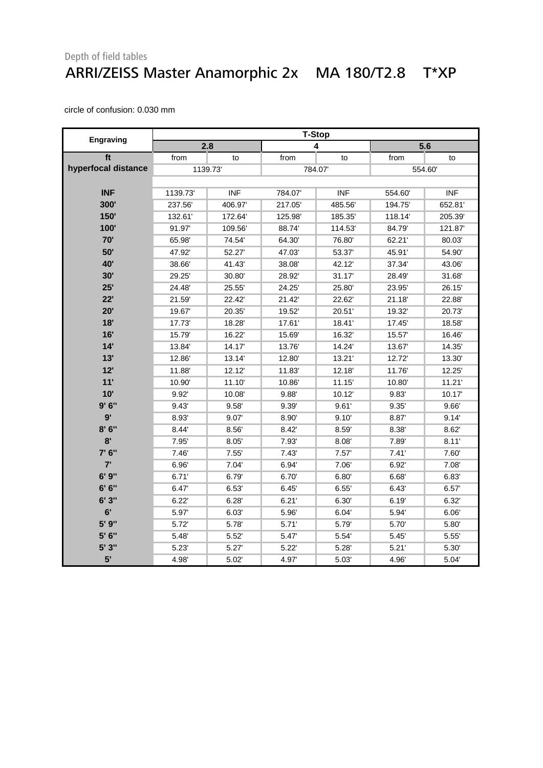#### Depth of field tables ARRI/ZEISS Master Anamorphic 2x MA 180/T2.8 T\*XP

|                     | <b>T-Stop</b> |            |        |            |        |            |
|---------------------|---------------|------------|--------|------------|--------|------------|
| Engraving           | 2.8           |            | 4      |            | 5.6    |            |
| ft                  | from          | to         | from   | to         | from   | to         |
| hyperfocal distance |               | 1139.73    | 784.07 |            | 554.60 |            |
|                     |               |            |        |            |        |            |
| <b>INF</b>          | 1139.73       | <b>INF</b> | 784.07 | <b>INF</b> | 554.60 | <b>INF</b> |
| 300'                | 237.56        | 406.97     | 217.05 | 485.56     | 194.75 | 652.81     |
| 150'                | 132.61'       | 172.64     | 125.98 | 185.35     | 118.14 | 205.39     |
| 100'                | 91.97         | 109.56     | 88.74  | 114.53     | 84.79  | 121.87     |
| 70'                 | 65.98         | 74.54      | 64.30' | 76.80      | 62.21' | 80.03'     |
| 50'                 | 47.92         | 52.27      | 47.03' | 53.37      | 45.91' | 54.90      |
| 40'                 | 38.66'        | 41.43      | 38.08' | 42.12'     | 37.34  | 43.06'     |
| 30'                 | 29.25         | 30.80      | 28.92' | 31.17      | 28.49  | 31.68'     |
| 25'                 | 24.48         | 25.55      | 24.25' | 25.80      | 23.95  | 26.15      |
| 22'                 | 21.59         | 22.42      | 21.42  | 22.62      | 21.18' | 22.88      |
| 20'                 | 19.67         | 20.35'     | 19.52' | 20.51'     | 19.32  | 20.73'     |
| 18'                 | 17.73'        | 18.28'     | 17.61' | 18.41'     | 17.45  | 18.58'     |
| 16'                 | 15.79         | 16.22      | 15.69  | 16.32'     | 15.57  | 16.46      |
| 14'                 | 13.84         | 14.17      | 13.76' | 14.24'     | 13.67  | 14.35'     |
| 13'                 | 12.86         | 13.14      | 12.80  | 13.21'     | 12.72  | 13.30      |
| 12'                 | 11.88         | 12.12      | 11.83  | 12.18'     | 11.76  | 12.25'     |
| 11'                 | 10.90         | 11.10      | 10.86' | 11.15'     | 10.80  | 11.21'     |
| 10'                 | 9.92          | 10.08      | 9.88   | 10.12'     | 9.83   | 10.17'     |
| 9'6''               | 9.43'         | 9.58'      | 9.39'  | 9.61'      | 9.35'  | 9.66'      |
| 9'                  | 8.93'         | 9.07'      | 8.90   | 9.10'      | 8.87   | 9.14'      |
| 8'6''               | 8.44          | 8.56       | 8.42   | 8.59       | 8.38'  | 8.62'      |
| 8'                  | 7.95          | 8.05'      | 7.93   | 8.08'      | 7.89   | 8.11'      |
| 7' 6"               | 7.46'         | 7.55'      | 7.43'  | 7.57'      | 7.41'  | 7.60       |
| 7'                  | 6.96'         | 7.04       | 6.94   | 7.06'      | 6.92   | 7.08'      |
| 6'9''               | 6.71'         | 6.79'      | 6.70'  | 6.80'      | 6.68'  | 6.83       |
| 6' 6''              | 6.47          | 6.53       | 6.45'  | 6.55'      | 6.43'  | 6.57'      |
| 6'3''               | 6.22'         | 6.28'      | 6.21'  | 6.30'      | 6.19'  | 6.32'      |
| 6'                  | 5.97          | 6.03'      | 5.96   | 6.04'      | 5.94   | 6.06'      |
| 5' 9"               | 5.72          | 5.78       | 5.71'  | 5.79       | 5.70   | 5.80       |
| 5' 6"               | 5.48          | 5.52       | 5.47   | 5.54       | 5.45'  | 5.55'      |
| 5'3''               | 5.23'         | 5.27'      | 5.22'  | 5.28'      | 5.21'  | 5.30'      |
| 5'                  | 4.98          | 5.02       | 4.97   | 5.03'      | 4.96   | 5.04       |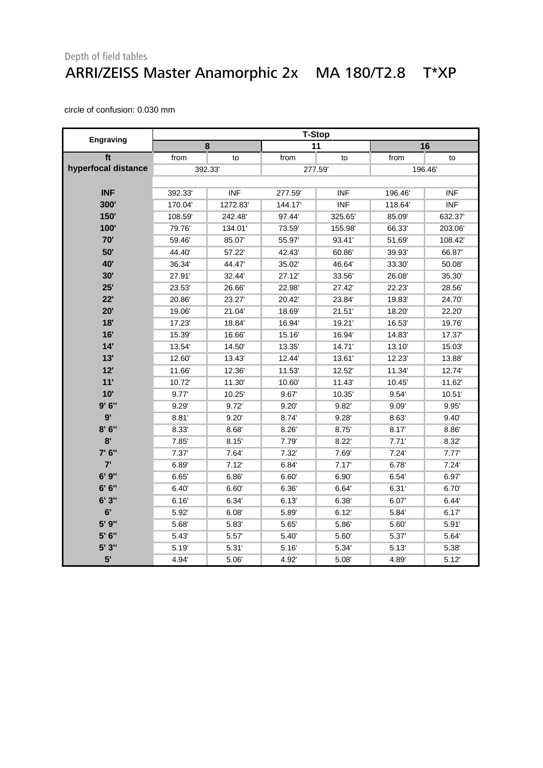#### Depth of field tables ARRI/ZEISS Master Anamorphic 2x MA 180/T2.8 T\*XP

|                     | <b>T-Stop</b> |            |         |            |        |            |
|---------------------|---------------|------------|---------|------------|--------|------------|
| Engraving           | 8             |            | 11      |            | 16     |            |
| ft                  | from          | to         | from    | to         | from   | to         |
| hyperfocal distance | 392.33'       |            | 277.59  |            | 196.46 |            |
|                     |               |            |         |            |        |            |
| <b>INF</b>          | 392.33'       | <b>INF</b> | 277.59  | <b>INF</b> | 196.46 | <b>INF</b> |
| 300'                | 170.04        | 1272.83    | 144.17' | <b>INF</b> | 118.64 | <b>INF</b> |
| 150'                | 108.59        | 242.48     | 97.44'  | 325.65     | 85.09  | 632.37'    |
| 100'                | 79.76         | 134.01'    | 73.59'  | 155.98     | 66.33' | 203.06'    |
| 70'                 | 59.46         | 85.07      | 55.97   | 93.41'     | 51.69  | 108.42     |
| 50'                 | 44.40         | 57.22      | 42.43'  | 60.86      | 39.93' | 66.87      |
| 40'                 | 36.34         | 44.47      | 35.02'  | 46.64      | 33.30  | 50.08      |
| 30'                 | 27.91'        | 32.44'     | 27.12   | 33.56'     | 26.08  | 35.30      |
| 25'                 | 23.53'        | 26.66'     | 22.98'  | 27.42      | 22.23' | 28.56      |
| 22'                 | 20.86'        | 23.27      | 20.42'  | 23.84      | 19.83  | 24.70      |
| 20'                 | 19.06'        | 21.04      | 18.69'  | 21.51'     | 18.20  | 22.20      |
| 18'                 | 17.23'        | 18.84'     | 16.94   | 19.21'     | 16.53' | 19.76'     |
| 16'                 | 15.39'        | 16.66      | 15.16   | 16.94      | 14.83' | 17.37      |
| 14'                 | 13.54         | 14.50      | 13.35'  | 14.71'     | 13.10  | 15.03      |
| 13'                 | 12.60         | 13.43'     | 12.44   | 13.61'     | 12.23' | 13.88      |
| 12'                 | 11.66         | 12.36      | 11.53'  | 12.52'     | 11.34  | 12.74      |
| 11'                 | 10.72         | 11.30      | 10.60   | 11.43      | 10.45  | 11.62      |
| 10'                 | 9.77'         | 10.25'     | 9.67    | 10.35'     | 9.54   | 10.51'     |
| 9'6''               | 9.29'         | 9.72       | 9.20'   | 9.82'      | 9.09'  | 9.95'      |
| 9'                  | 8.81'         | 9.20'      | 8.74'   | 9.28'      | 8.63'  | 9.40'      |
| 8'6''               | 8.33'         | 8.68'      | 8.26'   | 8.75'      | 8.17   | 8.86       |
| 8'                  | 7.85'         | 8.15'      | 7.79'   | 8.22'      | 7.71'  | 8.32'      |
| 7' 6"               | 7.37'         | 7.64       | 7.32'   | 7.69'      | 7.24'  | 7.77'      |
| 7'                  | 6.89          | 7.12'      | 6.84    | 7.17'      | 6.78'  | 7.24'      |
| 6'9''               | 6.65'         | 6.86       | 6.60'   | 6.90'      | 6.54'  | 6.97       |
| 6' 6''              | 6.40'         | 6.60'      | 6.36'   | 6.64'      | 6.31'  | 6.70'      |
| 6'3''               | 6.16'         | 6.34       | 6.13'   | 6.38'      | 6.07'  | 6.44'      |
| 6'                  | 5.92'         | 6.08'      | 5.89    | 6.12'      | 5.84   | 6.17'      |
| 5' 9"               | 5.68          | 5.83       | 5.65    | 5.86       | 5.60   | 5.91'      |
| 5' 6"               | 5.43'         | 5.57       | 5.40'   | 5.60       | 5.37   | 5.64       |
| 5' 3"               | 5.19          | 5.31'      | 5.16'   | 5.34'      | 5.13'  | 5.38       |
| 5'                  | 4.94'         | 5.06       | 4.92'   | 5.08'      | 4.89'  | 5.12'      |